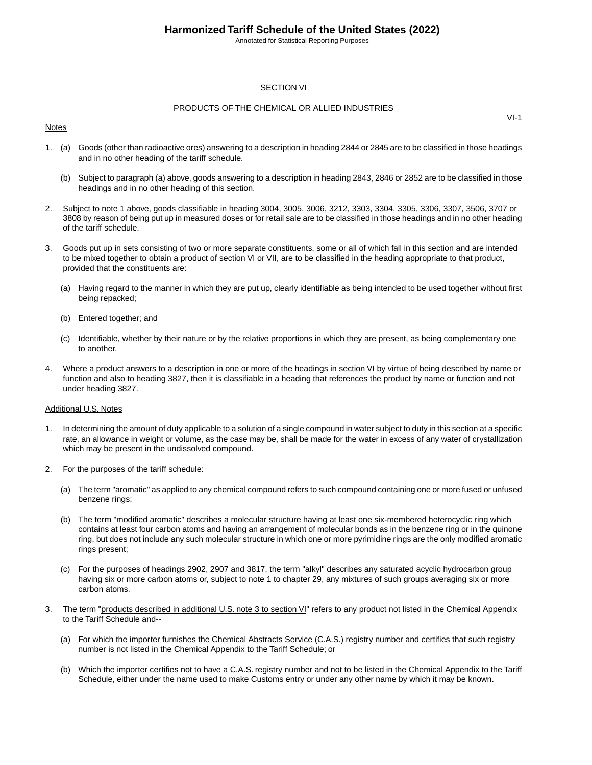Annotated for Statistical Reporting Purposes

VI-1

#### SECTION VI

#### PRODUCTS OF THE CHEMICAL OR ALLIED INDUSTRIES

#### Notes

1. (a) Goods (other than radioactive ores) answering to a description in heading 2844 or 2845 are to be classified in those headings and in no other heading of the tariff schedule.

- (b) Subject to paragraph (a) above, goods answering to a description in heading 2843, 2846 or 2852 are to be classified in those headings and in no other heading of this section.
- 2. Subject to note 1 above, goods classifiable in heading 3004, 3005, 3006, 3212, 3303, 3304, 3305, 3306, 3307, 3506, 3707 or 3808 by reason of being put up in measured doses or for retail sale are to be classified in those headings and in no other heading of the tariff schedule.
- 3. Goods put up in sets consisting of two or more separate constituents, some or all of which fall in this section and are intended to be mixed together to obtain a product of section VI or VII, are to be classified in the heading appropriate to that product, provided that the constituents are:
	- (a) Having regard to the manner in which they are put up, clearly identifiable as being intended to be used together without first being repacked;
	- (b) Entered together; and
	- (c) Identifiable, whether by their nature or by the relative proportions in which they are present, as being complementary one to another.
- 4. Where a product answers to a description in one or more of the headings in section VI by virtue of being described by name or function and also to heading 3827, then it is classifiable in a heading that references the product by name or function and not under heading 3827.

#### Additional U.S. Notes

- 1. In determining the amount of duty applicable to a solution of a single compound in water subject to duty in this section at a specific rate, an allowance in weight or volume, as the case may be, shall be made for the water in excess of any water of crystallization which may be present in the undissolved compound.
- 2. For the purposes of the tariff schedule:
	- (a) The term "aromatic" as applied to any chemical compound refers to such compound containing one or more fused or unfused benzene rings;
	- (b) The term "modified aromatic" describes a molecular structure having at least one six-membered heterocyclic ring which contains at least four carbon atoms and having an arrangement of molecular bonds as in the benzene ring or in the quinone ring, but does not include any such molecular structure in which one or more pyrimidine rings are the only modified aromatic rings present;
	- (c) For the purposes of headings 2902, 2907 and 3817, the term "alkyl" describes any saturated acyclic hydrocarbon group having six or more carbon atoms or, subject to note 1 to chapter 29, any mixtures of such groups averaging six or more carbon atoms.
- 3. The term "products described in additional U.S. note 3 to section VI" refers to any product not listed in the Chemical Appendix to the Tariff Schedule and--
	- (a) For which the importer furnishes the Chemical Abstracts Service (C.A.S.) registry number and certifies that such registry number is not listed in the Chemical Appendix to the Tariff Schedule; or
	- (b) Which the importer certifies not to have a C.A.S. registry number and not to be listed in the Chemical Appendix to the Tariff Schedule, either under the name used to make Customs entry or under any other name by which it may be known.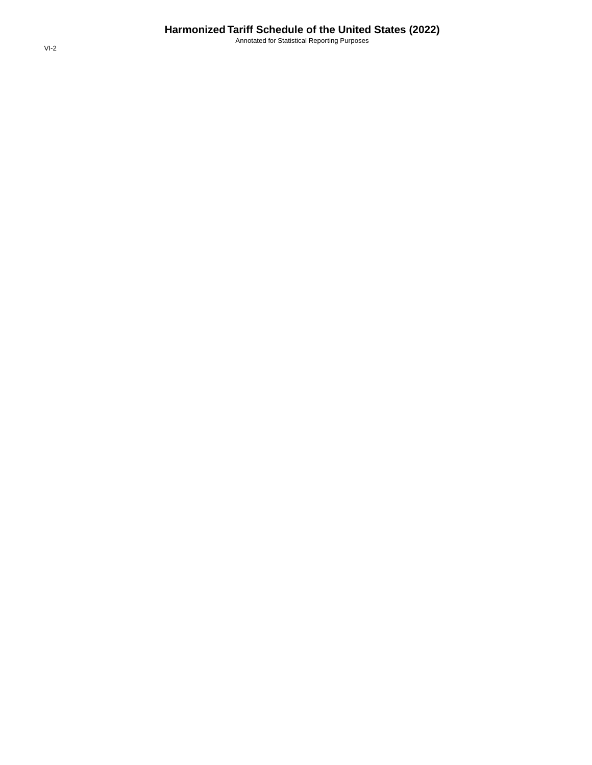Annotated for Statistical Reporting Purposes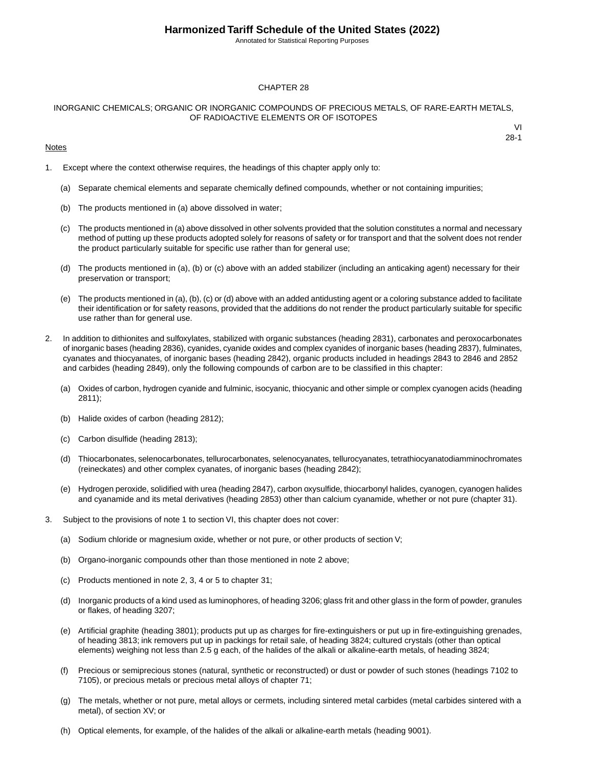Annotated for Statistical Reporting Purposes

#### CHAPTER 28

#### INORGANIC CHEMICALS; ORGANIC OR INORGANIC COMPOUNDS OF PRECIOUS METALS, OF RARE-EARTH METALS, OF RADIOACTIVE ELEMENTS OR OF ISOTOPES

#### **Notes**

1. Except where the context otherwise requires, the headings of this chapter apply only to:

- (a) Separate chemical elements and separate chemically defined compounds, whether or not containing impurities;
- (b) The products mentioned in (a) above dissolved in water;
- (c) The products mentioned in (a) above dissolved in other solvents provided that the solution constitutes a normal and necessary method of putting up these products adopted solely for reasons of safety or for transport and that the solvent does not render the product particularly suitable for specific use rather than for general use;
- (d) The products mentioned in (a), (b) or (c) above with an added stabilizer (including an anticaking agent) necessary for their preservation or transport;
- (e) The products mentioned in (a), (b), (c) or (d) above with an added antidusting agent or a coloring substance added to facilitate their identification or for safety reasons, provided that the additions do not render the product particularly suitable for specific use rather than for general use.
- 2. In addition to dithionites and sulfoxylates, stabilized with organic substances (heading 2831), carbonates and peroxocarbonates of inorganic bases (heading 2836), cyanides, cyanide oxides and complex cyanides of inorganic bases (heading 2837), fulminates, cyanates and thiocyanates, of inorganic bases (heading 2842), organic products included in headings 2843 to 2846 and 2852 and carbides (heading 2849), only the following compounds of carbon are to be classified in this chapter:
	- (a) Oxides of carbon, hydrogen cyanide and fulminic, isocyanic, thiocyanic and other simple or complex cyanogen acids (heading 2811);
	- (b) Halide oxides of carbon (heading 2812);
	- (c) Carbon disulfide (heading 2813);
	- (d) Thiocarbonates, selenocarbonates, tellurocarbonates, selenocyanates, tellurocyanates, tetrathiocyanatodiamminochromates (reineckates) and other complex cyanates, of inorganic bases (heading 2842);
	- (e) Hydrogen peroxide, solidified with urea (heading 2847), carbon oxysulfide, thiocarbonyl halides, cyanogen, cyanogen halides and cyanamide and its metal derivatives (heading 2853) other than calcium cyanamide, whether or not pure (chapter 31).
- 3. Subject to the provisions of note 1 to section VI, this chapter does not cover:
	- (a) Sodium chloride or magnesium oxide, whether or not pure, or other products of section V;
	- (b) Organo-inorganic compounds other than those mentioned in note 2 above;
	- (c) Products mentioned in note 2, 3, 4 or 5 to chapter 31;
	- (d) Inorganic products of a kind used as luminophores, of heading 3206; glass frit and other glass in the form of powder, granules or flakes, of heading 3207;
	- (e) Artificial graphite (heading 3801); products put up as charges for fire-extinguishers or put up in fire-extinguishing grenades, of heading 3813; ink removers put up in packings for retail sale, of heading 3824; cultured crystals (other than optical elements) weighing not less than 2.5 g each, of the halides of the alkali or alkaline-earth metals, of heading 3824;
	- (f) Precious or semiprecious stones (natural, synthetic or reconstructed) or dust or powder of such stones (headings 7102 to 7105), or precious metals or precious metal alloys of chapter 71;
	- (g) The metals, whether or not pure, metal alloys or cermets, including sintered metal carbides (metal carbides sintered with a metal), of section XV; or
	- (h) Optical elements, for example, of the halides of the alkali or alkaline-earth metals (heading 9001).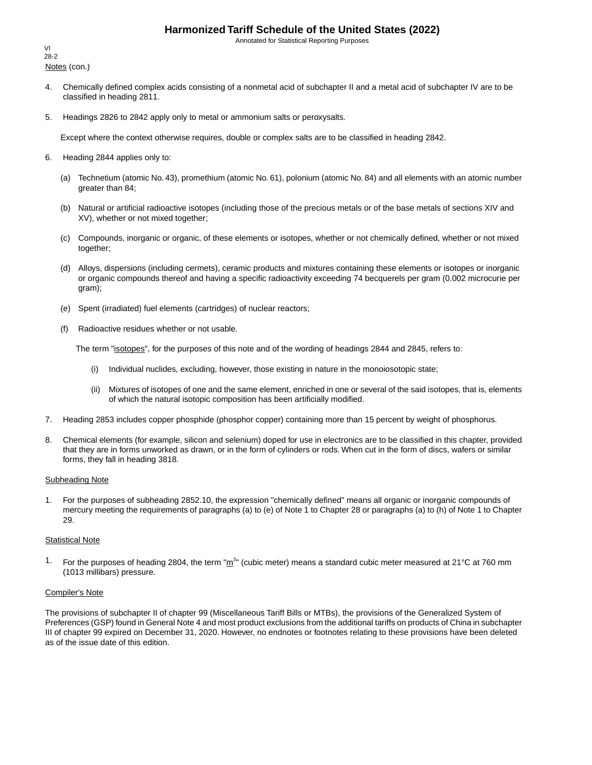Annotated for Statistical Reporting Purposes

Notes (con.) VI 28-2

- 4. Chemically defined complex acids consisting of a nonmetal acid of subchapter II and a metal acid of subchapter IV are to be classified in heading 2811.
- 5. Headings 2826 to 2842 apply only to metal or ammonium salts or peroxysalts.

Except where the context otherwise requires, double or complex salts are to be classified in heading 2842.

- 6. Heading 2844 applies only to:
	- (a) Technetium (atomic No. 43), promethium (atomic No. 61), polonium (atomic No. 84) and all elements with an atomic number greater than 84;
	- (b) Natural or artificial radioactive isotopes (including those of the precious metals or of the base metals of sections XIV and XV), whether or not mixed together;
	- (c) Compounds, inorganic or organic, of these elements or isotopes, whether or not chemically defined, whether or not mixed together;
	- (d) Alloys, dispersions (including cermets), ceramic products and mixtures containing these elements or isotopes or inorganic or organic compounds thereof and having a specific radioactivity exceeding 74 becquerels per gram (0.002 microcurie per gram);
	- (e) Spent (irradiated) fuel elements (cartridges) of nuclear reactors;
	- (f) Radioactive residues whether or not usable.

The term "isotopes", for the purposes of this note and of the wording of headings 2844 and 2845, refers to:

- (i) Individual nuclides, excluding, however, those existing in nature in the monoiosotopic state;
- (ii) Mixtures of isotopes of one and the same element, enriched in one or several of the said isotopes, that is, elements of which the natural isotopic composition has been artificially modified.
- 7. Heading 2853 includes copper phosphide (phosphor copper) containing more than 15 percent by weight of phosphorus.
- 8. Chemical elements (for example, silicon and selenium) doped for use in electronics are to be classified in this chapter, provided that they are in forms unworked as drawn, or in the form of cylinders or rods. When cut in the form of discs, wafers or similar forms, they fall in heading 3818.

#### Subheading Note

1. For the purposes of subheading 2852.10, the expression "chemically defined" means all organic or inorganic compounds of mercury meeting the requirements of paragraphs (a) to (e) of Note 1 to Chapter 28 or paragraphs (a) to (h) of Note 1 to Chapter 29.

#### **Statistical Note**

<sup>1.</sup> For the purposes of heading 2804, the term " $m^{3n}$  (cubic meter) means a standard cubic meter measured at 21°C at 760 mm (1013 millibars) pressure.

#### Compiler's Note

The provisions of subchapter II of chapter 99 (Miscellaneous Tariff Bills or MTBs), the provisions of the Generalized System of Preferences (GSP) found in General Note 4 and most product exclusions from the additional tariffs on products of China in subchapter III of chapter 99 expired on December 31, 2020. However, no endnotes or footnotes relating to these provisions have been deleted as of the issue date of this edition.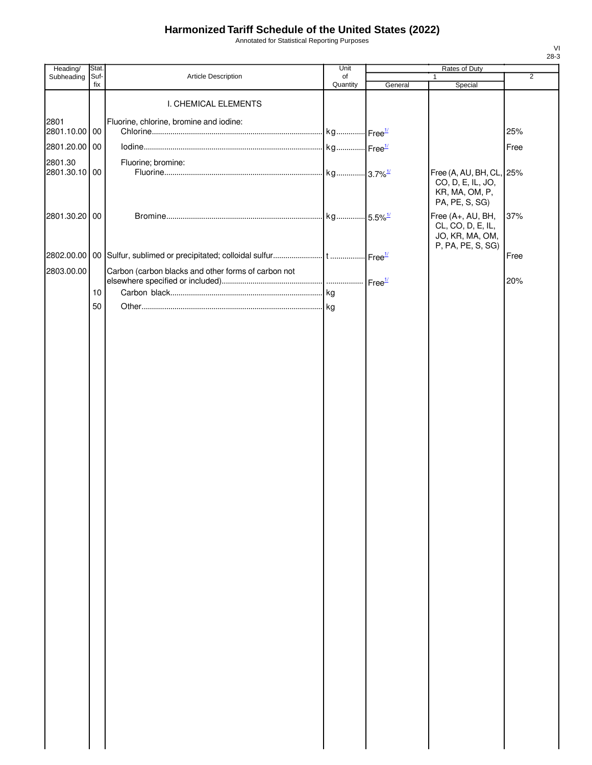Annotated for Statistical Reporting Purposes

| Heading/                 | Stat.       |                                                     | Unit           |         | Rates of Duty                                             |                |
|--------------------------|-------------|-----------------------------------------------------|----------------|---------|-----------------------------------------------------------|----------------|
| Subheading               | Suf-<br>fix | Article Description                                 | of<br>Quantity | General | 1<br>Special                                              | $\overline{2}$ |
|                          |             | I. CHEMICAL ELEMENTS                                |                |         |                                                           |                |
| 2801<br>2801.10.00 00    |             | Fluorine, chlorine, bromine and iodine:             |                |         |                                                           | 25%            |
| 2801.20.00 00            |             |                                                     |                |         |                                                           | Free           |
| 2801.30<br>2801.30.10 00 |             | Fluorine; bromine:                                  |                |         | Free (A, AU, BH, CL, 25%                                  |                |
|                          |             |                                                     |                |         | CO, D, E, IL, JO,<br>KR, MA, OM, P,<br>PA, PE, S, SG)     |                |
| 2801.30.20 00            |             |                                                     |                |         | Free (A+, AU, BH,<br>CL, CO, D, E, IL,<br>JO, KR, MA, OM, | 37%            |
|                          |             |                                                     |                |         | P, PA, PE, S, SG)                                         | Free           |
| 2803.00.00               |             | Carbon (carbon blacks and other forms of carbon not |                |         |                                                           |                |
|                          | 10          |                                                     |                |         |                                                           | 20%            |
|                          | 50          |                                                     |                |         |                                                           |                |
|                          |             |                                                     |                |         |                                                           |                |
|                          |             |                                                     |                |         |                                                           |                |
|                          |             |                                                     |                |         |                                                           |                |
|                          |             |                                                     |                |         |                                                           |                |
|                          |             |                                                     |                |         |                                                           |                |
|                          |             |                                                     |                |         |                                                           |                |
|                          |             |                                                     |                |         |                                                           |                |
|                          |             |                                                     |                |         |                                                           |                |
|                          |             |                                                     |                |         |                                                           |                |
|                          |             |                                                     |                |         |                                                           |                |
|                          |             |                                                     |                |         |                                                           |                |
|                          |             |                                                     |                |         |                                                           |                |
|                          |             |                                                     |                |         |                                                           |                |
|                          |             |                                                     |                |         |                                                           |                |
|                          |             |                                                     |                |         |                                                           |                |
|                          |             |                                                     |                |         |                                                           |                |
|                          |             |                                                     |                |         |                                                           |                |
|                          |             |                                                     |                |         |                                                           |                |
|                          |             |                                                     |                |         |                                                           |                |
|                          |             |                                                     |                |         |                                                           |                |
|                          |             |                                                     |                |         |                                                           |                |
|                          |             |                                                     |                |         |                                                           |                |
|                          |             |                                                     |                |         |                                                           |                |
|                          |             |                                                     |                |         |                                                           |                |
|                          |             |                                                     |                |         |                                                           |                |
|                          |             |                                                     |                |         |                                                           |                |
|                          |             |                                                     |                |         |                                                           |                |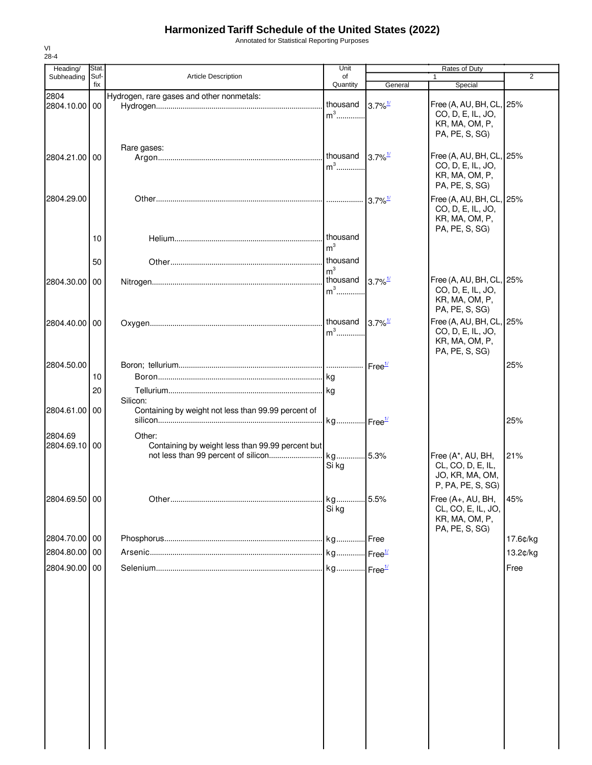Annotated for Statistical Reporting Purposes

| Heading/                 | Stat.       |                                                                 | Unit                       |                       | Rates of Duty                                                                     |                |
|--------------------------|-------------|-----------------------------------------------------------------|----------------------------|-----------------------|-----------------------------------------------------------------------------------|----------------|
| Subheading               | Suf-<br>fix | <b>Article Description</b>                                      | of<br>Quantity             | General               | $\mathbf{1}$<br>Special                                                           | $\overline{2}$ |
| 2804<br>2804.10.00 00    |             | Hydrogen, rare gases and other nonmetals:                       | thousand                   | $3.7\%$ <sup>1/</sup> | Free (A, AU, BH, CL, 25%                                                          |                |
|                          |             |                                                                 | $m3$                       |                       | CO, D, E, IL, JO,<br>KR, MA, OM, P,<br>PA, PE, S, SG)                             |                |
| 2804.21.00 00            |             | Rare gases:                                                     | thousand<br>$m^3$          | $3.7\%$ <sup>1/</sup> | Free (A, AU, BH, CL, 25%<br>CO, D, E, IL, JO,<br>KR, MA, OM, P,<br>PA, PE, S, SG) |                |
| 2804.29.00               |             |                                                                 |                            |                       | Free (A, AU, BH, CL, 25%<br>CO, D, E, IL, JO,<br>KR, MA, OM, P,<br>PA, PE, S, SG) |                |
|                          | 10          |                                                                 | thousand<br>m <sup>3</sup> |                       |                                                                                   |                |
|                          | 50          |                                                                 | thousand<br>m <sup>3</sup> |                       |                                                                                   |                |
| 2804.30.00 00            |             |                                                                 | thousand<br>$m^3$          | $3.7\%$ <sup>1/</sup> | Free (A, AU, BH, CL, 25%<br>CO, D, E, IL, JO,<br>KR, MA, OM, P,<br>PA, PE, S, SG) |                |
| 2804.40.00 00            |             |                                                                 | thousand<br>$m^3$          | $3.7\%$ <sup>1/</sup> | Free (A, AU, BH, CL, 25%<br>CO, D, E, IL, JO,<br>KR, MA, OM, P,<br>PA, PE, S, SG) |                |
| 2804.50.00               |             |                                                                 |                            |                       |                                                                                   | 25%            |
|                          | 10<br>20    |                                                                 |                            |                       |                                                                                   |                |
| 2804.61.00 00            |             | Silicon:<br>Containing by weight not less than 99.99 percent of |                            |                       |                                                                                   | 25%            |
| 2804.69<br>2804.69.10 00 |             | Other:<br>Containing by weight less than 99.99 percent but      | Si kg                      |                       | Free (A*, AU, BH,<br>CL, CO, D, E, IL,<br>JO, KR, MA, OM,                         | 21%            |
| 2804.69.50 00            |             |                                                                 | Si kg                      |                       | P, PA, PE, S, SG)<br>Free (A+, AU, BH,<br>CL, CO, E, IL, JO,<br>KR, MA, OM, P,    | 45%            |
| 2804.70.00 00            |             |                                                                 |                            |                       | PA, PE, S, SG)                                                                    | 17.6¢/kg       |
| 2804.80.00 00            |             |                                                                 |                            |                       |                                                                                   | 13.2¢/kg       |
| 2804.90.00 00            |             |                                                                 |                            |                       |                                                                                   | Free           |
|                          |             |                                                                 |                            |                       |                                                                                   |                |
|                          |             |                                                                 |                            |                       |                                                                                   |                |
|                          |             |                                                                 |                            |                       |                                                                                   |                |
|                          |             |                                                                 |                            |                       |                                                                                   |                |
|                          |             |                                                                 |                            |                       |                                                                                   |                |
|                          |             |                                                                 |                            |                       |                                                                                   |                |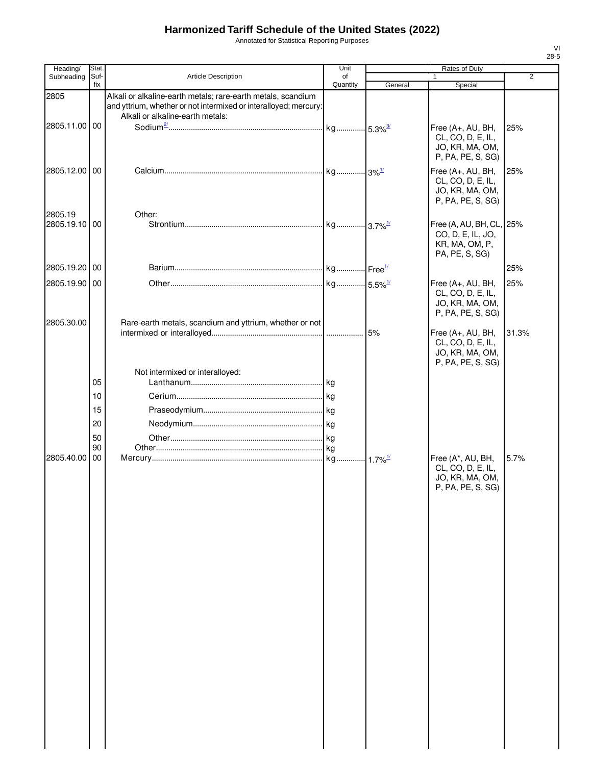Annotated for Statistical Reporting Purposes

| Heading/                 | <b>Stat</b> |                                                                                                                                                                      | Unit           |         | Rates of Duty                                                                     |                |
|--------------------------|-------------|----------------------------------------------------------------------------------------------------------------------------------------------------------------------|----------------|---------|-----------------------------------------------------------------------------------|----------------|
| Subheading               | Suf-<br>fix | <b>Article Description</b>                                                                                                                                           | οf<br>Quantity | General | 1<br>Special                                                                      | $\overline{2}$ |
| 2805                     |             | Alkali or alkaline-earth metals; rare-earth metals, scandium<br>and yttrium, whether or not intermixed or interalloyed; mercury:<br>Alkali or alkaline-earth metals: |                |         |                                                                                   |                |
| 2805.11.00 00            |             |                                                                                                                                                                      |                |         | Free (A+, AU, BH,<br>CL, CO, D, E, IL,<br>JO, KR, MA, OM,<br>P, PA, PE, S, SG)    | 25%            |
| 2805.12.00 00            |             |                                                                                                                                                                      |                |         | Free (A+, AU, BH,<br>CL, CO, D, E, IL,<br>JO, KR, MA, OM,<br>P, PA, PE, S, SG)    | 25%            |
| 2805.19<br>2805.19.10 00 |             | Other:                                                                                                                                                               |                |         | Free (A, AU, BH, CL, 25%<br>CO, D, E, IL, JO,<br>KR, MA, OM, P,<br>PA, PE, S, SG) |                |
| 2805.19.20               | 00          |                                                                                                                                                                      |                |         |                                                                                   | 25%            |
| 2805.19.90 00            |             |                                                                                                                                                                      |                |         | Free (A+, AU, BH,                                                                 | 25%            |
|                          |             |                                                                                                                                                                      |                |         | CL, CO, D, E, IL,<br>JO, KR, MA, OM,<br>P, PA, PE, S, SG)                         |                |
| 2805.30.00               |             | Rare-earth metals, scandium and yttrium, whether or not                                                                                                              |                |         | Free (A+, AU, BH,<br>CL, CO, D, E, IL,<br>JO, KR, MA, OM,<br>P, PA, PE, S, SG)    | 31.3%          |
|                          | 05          | Not intermixed or interalloyed:                                                                                                                                      |                |         |                                                                                   |                |
|                          | 10          |                                                                                                                                                                      |                |         |                                                                                   |                |
|                          | 15          |                                                                                                                                                                      |                |         |                                                                                   |                |
|                          | 20          |                                                                                                                                                                      |                |         |                                                                                   |                |
|                          | 50          |                                                                                                                                                                      |                |         |                                                                                   |                |
| 2805.40.00               | 90<br>00    |                                                                                                                                                                      |                |         | Free (A*, AU, BH,                                                                 | 5.7%           |
|                          |             |                                                                                                                                                                      |                |         | CL, CO, D, E, IL,<br>JO, KR, MA, OM,<br>P, PA, PE, S, SG)                         |                |
|                          |             |                                                                                                                                                                      |                |         |                                                                                   |                |
|                          |             |                                                                                                                                                                      |                |         |                                                                                   |                |
|                          |             |                                                                                                                                                                      |                |         |                                                                                   |                |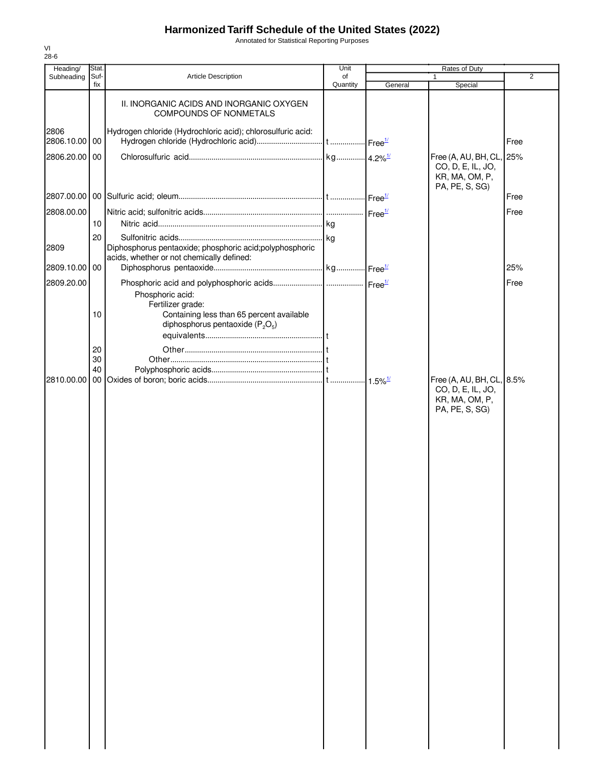Annotated for Statistical Reporting Purposes

| Heading/              | Stat.       |                                                                                                                            | Unit           |         | Rates of Duty                                                                      |      |
|-----------------------|-------------|----------------------------------------------------------------------------------------------------------------------------|----------------|---------|------------------------------------------------------------------------------------|------|
| Subheading            | Suf-<br>fix | Article Description                                                                                                        | of<br>Quantity | General | $\mathbf{1}$<br>Special                                                            | 2    |
|                       |             | II. INORGANIC ACIDS AND INORGANIC OXYGEN<br>COMPOUNDS OF NONMETALS                                                         |                |         |                                                                                    |      |
| 2806<br>2806.10.00 00 |             | Hydrogen chloride (Hydrochloric acid); chlorosulfuric acid:                                                                |                |         |                                                                                    | Free |
| 2806.20.00 00         |             |                                                                                                                            |                |         | Free (A, AU, BH, CL, 25%<br>CO, D, E, IL, JO,<br>KR, MA, OM, P,                    |      |
|                       |             |                                                                                                                            |                |         | PA, PE, S, SG)                                                                     | Free |
| 2808.00.00            |             |                                                                                                                            |                |         |                                                                                    | Free |
|                       | 10          |                                                                                                                            |                |         |                                                                                    |      |
| 2809                  | 20          | Diphosphorus pentaoxide; phosphoric acid;polyphosphoric                                                                    |                |         |                                                                                    |      |
|                       |             | acids, whether or not chemically defined:                                                                                  |                |         |                                                                                    |      |
| 2809.10.00 00         |             |                                                                                                                            |                |         |                                                                                    | 25%  |
| 2809.20.00            |             |                                                                                                                            |                |         |                                                                                    | Free |
|                       | 10          | Phosphoric acid:<br>Fertilizer grade:<br>Containing less than 65 percent available<br>diphosphorus pentaoxide ( $P_2O_5$ ) |                |         |                                                                                    |      |
|                       | 20          |                                                                                                                            |                |         |                                                                                    |      |
|                       | 30          |                                                                                                                            |                |         |                                                                                    |      |
|                       | 40          |                                                                                                                            |                |         |                                                                                    |      |
|                       |             |                                                                                                                            |                |         | Free (A, AU, BH, CL, 8.5%<br>CO, D, E, IL, JO,<br>KR, MA, OM, P,<br>PA, PE, S, SG) |      |
|                       |             |                                                                                                                            |                |         |                                                                                    |      |
|                       |             |                                                                                                                            |                |         |                                                                                    |      |
|                       |             |                                                                                                                            |                |         |                                                                                    |      |
|                       |             |                                                                                                                            |                |         |                                                                                    |      |
|                       |             |                                                                                                                            |                |         |                                                                                    |      |
|                       |             |                                                                                                                            |                |         |                                                                                    |      |
|                       |             |                                                                                                                            |                |         |                                                                                    |      |
|                       |             |                                                                                                                            |                |         |                                                                                    |      |
|                       |             |                                                                                                                            |                |         |                                                                                    |      |
|                       |             |                                                                                                                            |                |         |                                                                                    |      |
|                       |             |                                                                                                                            |                |         |                                                                                    |      |
|                       |             |                                                                                                                            |                |         |                                                                                    |      |
|                       |             |                                                                                                                            |                |         |                                                                                    |      |
|                       |             |                                                                                                                            |                |         |                                                                                    |      |
|                       |             |                                                                                                                            |                |         |                                                                                    |      |
|                       |             |                                                                                                                            |                |         |                                                                                    |      |
|                       |             |                                                                                                                            |                |         |                                                                                    |      |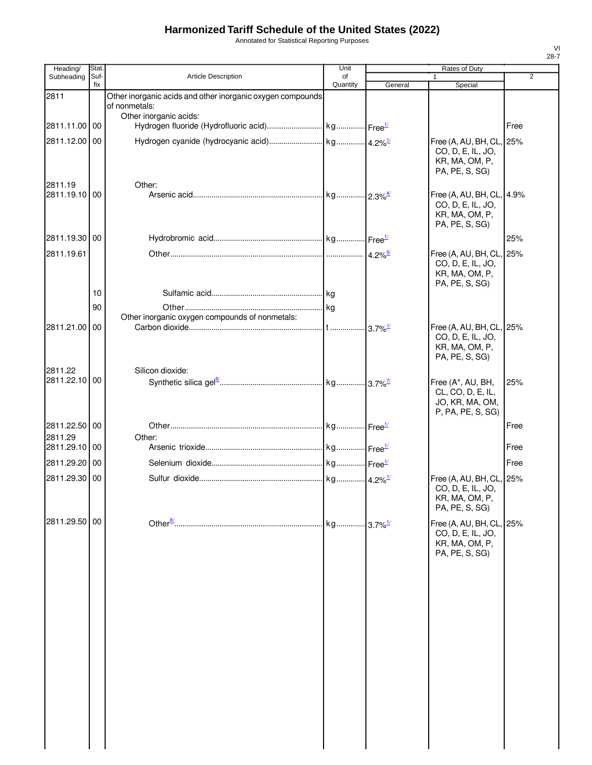Annotated for Statistical Reporting Purposes

| Heading/                 | Stat.       |                                                                             | Unit           |                        | Rates of Duty                                                                     |                |
|--------------------------|-------------|-----------------------------------------------------------------------------|----------------|------------------------|-----------------------------------------------------------------------------------|----------------|
| Subheading               | Suf-<br>fix | Article Description                                                         | of<br>Quantity | General                | Special                                                                           | $\overline{2}$ |
| 2811                     |             | Other inorganic acids and other inorganic oxygen compounds<br>of nonmetals: |                |                        |                                                                                   |                |
|                          |             | Other inorganic acids:                                                      |                |                        |                                                                                   |                |
| 2811.11.00 00            |             |                                                                             |                |                        |                                                                                   | Free           |
| 2811.12.00 00            |             |                                                                             |                |                        | Free (A, AU, BH, CL, 25%<br>CO, D, E, IL, JO,<br>KR, MA, OM, P,<br>PA, PE, S, SG) |                |
| 2811.19<br>2811.19.10 00 |             | Other:                                                                      |                |                        | Free (A, AU, BH, CL,<br>CO, D, E, IL, JO,<br>KR, MA, OM, P,<br>PA, PE, S, SG)     | 4.9%           |
| 2811.19.30 00            |             |                                                                             |                |                        |                                                                                   | 25%            |
| 2811.19.61               |             |                                                                             |                |                        | Free (A, AU, BH, CL, 25%                                                          |                |
|                          | 10          |                                                                             |                |                        | CO, D, E, IL, JO,<br>KR, MA, OM, P,<br>PA, PE, S, SG)                             |                |
|                          | 90          | Other inorganic oxygen compounds of nonmetals:                              |                |                        |                                                                                   |                |
| 2811.21.00 00            |             |                                                                             |                | $-3.7\%$ <sup>1/</sup> | Free (A, AU, BH, CL, 25%<br>CO, D, E, IL, JO,<br>KR, MA, OM, P,<br>PA, PE, S, SG) |                |
| 2811.22                  |             | Silicon dioxide:                                                            |                |                        |                                                                                   |                |
| 2811.22.10 00            |             |                                                                             |                |                        | Free (A*, AU, BH,<br>CL, CO, D, E, IL,<br>JO, KR, MA, OM,<br>P, PA, PE, S, SG)    | 25%            |
| 2811.22.50 00            |             |                                                                             |                |                        |                                                                                   | Free           |
| 2811.29<br>2811.29.10 00 |             | Other:                                                                      |                |                        |                                                                                   | Free           |
|                          |             |                                                                             |                |                        |                                                                                   |                |
| 2811.29.20               | 00          |                                                                             |                |                        |                                                                                   | Free           |
| 2811.29.30               | 00          |                                                                             |                |                        | Free (A, AU, BH, CL, 25%<br>CO, D, E, IL, JO,<br>KR, MA, OM, P,<br>PA, PE, S, SG) |                |
| 2811.29.50 00            |             |                                                                             |                |                        | Free (A, AU, BH, CL, 25%<br>CO, D, E, IL, JO,<br>KR, MA, OM, P,<br>PA, PE, S, SG) |                |
|                          |             |                                                                             |                |                        |                                                                                   |                |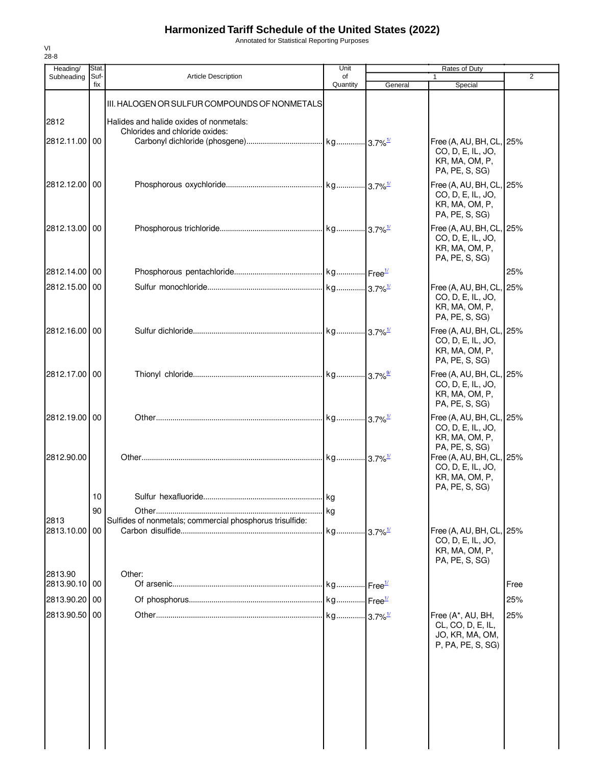Annotated for Statistical Reporting Purposes

| Heading/                 | Stat.       |                                                          | Unit                    |                       | Rates of Duty                                         |      |
|--------------------------|-------------|----------------------------------------------------------|-------------------------|-----------------------|-------------------------------------------------------|------|
| Subheading               | Suf-<br>fix | Article Description                                      | of<br>Quantity          | General               | Special                                               | 2    |
|                          |             | III. HALOGEN OR SULFUR COMPOUNDS OF NONMETALS            |                         |                       |                                                       |      |
| 2812                     |             | Halides and halide oxides of nonmetals:                  |                         |                       |                                                       |      |
|                          |             | Chlorides and chloride oxides:                           |                         |                       |                                                       |      |
| 2812.11.00 00            |             |                                                          |                         |                       | Free (A, AU, BH, CL, 25%                              |      |
|                          |             |                                                          |                         |                       | CO, D, E, IL, JO,<br>KR, MA, OM, P,<br>PA, PE, S, SG) |      |
| 2812.12.00 00            |             |                                                          |                         |                       | Free (A, AU, BH, CL, 25%                              |      |
|                          |             |                                                          |                         |                       | CO, D, E, IL, JO,<br>KR, MA, OM, P,<br>PA, PE, S, SG) |      |
| 2812.13.00 00            |             |                                                          |                         |                       | Free (A, AU, BH, CL, 25%                              |      |
|                          |             |                                                          |                         |                       | CO, D, E, IL, JO,<br>KR, MA, OM, P,                   |      |
|                          |             |                                                          |                         |                       | PA, PE, S, SG)                                        |      |
| 2812.14.00 00            |             |                                                          |                         |                       |                                                       | 25%  |
| 2812.15.00 00            |             |                                                          |                         |                       | Free (A, AU, BH, CL, 25%                              |      |
|                          |             |                                                          |                         |                       | CO, D, E, IL, JO,                                     |      |
|                          |             |                                                          |                         |                       | KR, MA, OM, P,<br>PA, PE, S, SG)                      |      |
| 2812.16.00 00            |             |                                                          |                         |                       | Free (A, AU, BH, CL, 25%                              |      |
|                          |             |                                                          |                         |                       | CO, D, E, IL, JO,                                     |      |
|                          |             |                                                          |                         |                       | KR, MA, OM, P,                                        |      |
| 2812.17.00 00            |             |                                                          |                         |                       | PA, PE, S, SG)                                        |      |
|                          |             |                                                          |                         |                       | Free (A, AU, BH, CL, 25%<br>CO, D, E, IL, JO,         |      |
|                          |             |                                                          |                         |                       | KR, MA, OM, P,                                        |      |
|                          |             |                                                          |                         |                       | PA, PE, S, SG)                                        |      |
| 2812.19.00 00            |             |                                                          |                         |                       | Free (A, AU, BH, CL, 25%<br>CO, D, E, IL, JO,         |      |
|                          |             |                                                          |                         |                       | KR, MA, OM, P,                                        |      |
| 2812.90.00               |             |                                                          |                         |                       | PA, PE, S, SG)<br>Free (A, AU, BH, CL, 25%            |      |
|                          |             |                                                          |                         |                       | CO, D, E, IL, JO,                                     |      |
|                          |             |                                                          |                         |                       | KR, MA, OM, P,<br>PA, PE, S, SG)                      |      |
|                          | 10          |                                                          | .I kg                   |                       |                                                       |      |
|                          | 90          |                                                          | kg                      |                       |                                                       |      |
| 2813                     |             | Sulfides of nonmetals; commercial phosphorus trisulfide: |                         |                       |                                                       |      |
| 2813.10.00               | 00          |                                                          | kg                      | $3.7\%$ <sup>1/</sup> | Free (A, AU, BH, CL, 25%<br>CO, D, E, IL, JO,         |      |
|                          |             |                                                          |                         |                       | KR, MA, OM, P,                                        |      |
|                          |             |                                                          |                         |                       | PA, PE, S, SG)                                        |      |
| 2813.90<br>2813.90.10 00 |             | Other:                                                   | . kg Free <sup>1/</sup> |                       |                                                       | Free |
| 2813.90.20               | 00          |                                                          |                         |                       |                                                       | 25%  |
| 2813.90.50               | 00          |                                                          |                         |                       | Free (A*, AU, BH,                                     | 25%  |
|                          |             |                                                          |                         |                       | CL, CO, D, E, IL,                                     |      |
|                          |             |                                                          |                         |                       | JO, KR, MA, OM,                                       |      |
|                          |             |                                                          |                         |                       | P, PA, PE, S, SG)                                     |      |
|                          |             |                                                          |                         |                       |                                                       |      |
|                          |             |                                                          |                         |                       |                                                       |      |
|                          |             |                                                          |                         |                       |                                                       |      |
|                          |             |                                                          |                         |                       |                                                       |      |
|                          |             |                                                          |                         |                       |                                                       |      |
|                          |             |                                                          |                         |                       |                                                       |      |
|                          |             |                                                          |                         |                       |                                                       |      |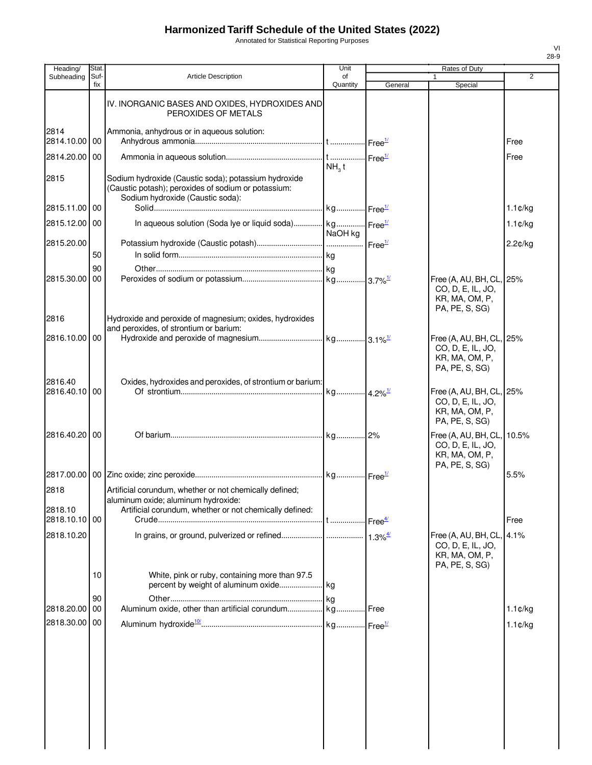Annotated for Statistical Reporting Purposes

| Heading/                 | Stat.       |                                                                                                                                                 | Unit                  |         | Rates of Duty                                                                       |                   |
|--------------------------|-------------|-------------------------------------------------------------------------------------------------------------------------------------------------|-----------------------|---------|-------------------------------------------------------------------------------------|-------------------|
| Subheading               | Suf-<br>fix | <b>Article Description</b>                                                                                                                      | of<br>Quantity        | General | Special                                                                             | $\overline{2}$    |
|                          |             | IV. INORGANIC BASES AND OXIDES, HYDROXIDES AND<br>PEROXIDES OF METALS                                                                           |                       |         |                                                                                     |                   |
| 2814<br>2814.10.00 00    |             | Ammonia, anhydrous or in aqueous solution:                                                                                                      |                       |         |                                                                                     | Free              |
| 2814.20.00               | 00          |                                                                                                                                                 | NH <sub>3</sub> t     |         |                                                                                     | Free              |
| 2815                     |             | Sodium hydroxide (Caustic soda); potassium hydroxide<br>(Caustic potash); peroxides of sodium or potassium:<br>Sodium hydroxide (Caustic soda): |                       |         |                                                                                     |                   |
| 2815.11.00 00            |             |                                                                                                                                                 | kg Free <sup>1/</sup> |         |                                                                                     | $1.1$ ¢/kg        |
| 2815.12.00 00            |             | In aqueous solution (Soda lye or liquid soda) kg Free <sup>1/</sup>                                                                             | NaOH kg               |         |                                                                                     | $1.1$ ¢/kg        |
| 2815.20.00               | 50          |                                                                                                                                                 | kg                    |         |                                                                                     | 2.2¢/kg           |
|                          | 90          |                                                                                                                                                 |                       |         |                                                                                     |                   |
| 2815.30.00               | 00          |                                                                                                                                                 |                       |         | Free (A, AU, BH, CL, 25%<br>CO, D, E, IL, JO,<br>KR, MA, OM, P,                     |                   |
| 2816                     |             | Hydroxide and peroxide of magnesium; oxides, hydroxides<br>and peroxides, of strontium or barium:                                               |                       |         | PA, PE, S, SG)                                                                      |                   |
| 2816.10.00 00            |             |                                                                                                                                                 |                       |         | Free (A, AU, BH, CL, 25%<br>CO, D, E, IL, JO,<br>KR, MA, OM, P,<br>PA, PE, S, SG)   |                   |
| 2816.40<br>2816.40.10 00 |             | Oxides, hydroxides and peroxides, of strontium or barium:                                                                                       | kg 4.2% <sup>1/</sup> |         | Free (A, AU, BH, CL, 25%<br>CO, D, E, IL, JO,<br>KR, MA, OM, P,                     |                   |
| 2816.40.20 00            |             |                                                                                                                                                 |                       |         | PA, PE, S, SG)<br>Free (A, AU, BH, CL, 10.5%<br>CO, D, E, IL, JO,<br>KR, MA, OM, P, |                   |
|                          |             |                                                                                                                                                 |                       |         | PA, PE, S, SG)                                                                      | 5.5%              |
| 2818                     |             | Artificial corundum, whether or not chemically defined;<br>aluminum oxide; aluminum hydroxide:                                                  |                       |         |                                                                                     |                   |
| 2818.10<br>2818.10.10 00 |             | Artificial corundum, whether or not chemically defined:                                                                                         |                       |         |                                                                                     | Free              |
| 2818.10.20               |             |                                                                                                                                                 |                       |         | Free (A, AU, BH, CL, 4.1%<br>CO, D, E, IL, JO,<br>KR, MA, OM, P,                    |                   |
|                          | 10          | White, pink or ruby, containing more than 97.5<br>percent by weight of aluminum oxide                                                           | . kg                  |         | PA, PE, S, SG)                                                                      |                   |
| 2818.20.00               | 90<br>00    |                                                                                                                                                 |                       |         |                                                                                     | $1.1 \text{C/kg}$ |
| 2818.30.00               | 00          |                                                                                                                                                 |                       |         |                                                                                     | $1.1$ ¢/kg        |
|                          |             |                                                                                                                                                 |                       |         |                                                                                     |                   |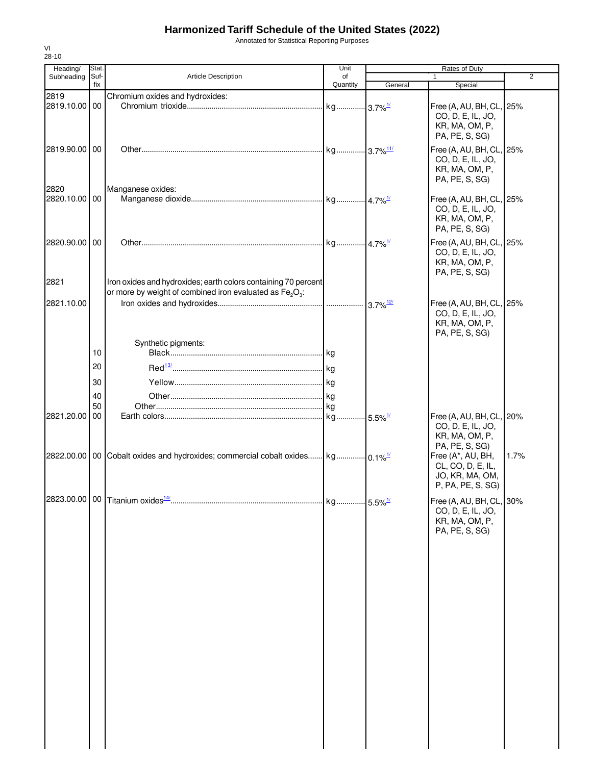Annotated for Statistical Reporting Purposes

| Heading/              | Stat.       |                                                                                                                             | Unit           |         | Rates of Duty                                                                                    | 2    |
|-----------------------|-------------|-----------------------------------------------------------------------------------------------------------------------------|----------------|---------|--------------------------------------------------------------------------------------------------|------|
| Subheading            | Suf-<br>fix | Article Description                                                                                                         | of<br>Quantity | General | $\mathbf{1}$<br>Special                                                                          |      |
| 2819<br>2819.10.00 00 |             | Chromium oxides and hydroxides:                                                                                             |                |         | Free (A, AU, BH, CL, 25%<br>CO, D, E, IL, JO,<br>KR, MA, OM, P,<br>PA, PE, S, SG)                |      |
| 2819.90.00 00         |             |                                                                                                                             |                |         | Free (A, AU, BH, CL, 25%<br>CO, D, E, IL, JO,<br>KR, MA, OM, P,<br>PA, PE, S, SG)                |      |
| 2820<br>2820.10.00 00 |             | Manganese oxides:                                                                                                           |                |         | Free (A, AU, BH, CL, 25%<br>CO, D, E, IL, JO,<br>KR, MA, OM, P,<br>PA, PE, S, SG)                |      |
| 2820.90.00 00         |             |                                                                                                                             |                |         | Free (A, AU, BH, CL, 25%<br>CO, D, E, IL, JO,<br>KR, MA, OM, P,<br>PA, PE, S, SG)                |      |
| 2821                  |             | Iron oxides and hydroxides; earth colors containing 70 percent<br>or more by weight of combined iron evaluated as $Fe2O3$ : |                |         |                                                                                                  |      |
| 2821.10.00            |             |                                                                                                                             |                |         | Free (A, AU, BH, CL, 25%<br>CO, D, E, IL, JO,<br>KR, MA, OM, P,<br>PA, PE, S, SG)                |      |
|                       |             | Synthetic pigments:                                                                                                         |                |         |                                                                                                  |      |
|                       | 10          |                                                                                                                             |                |         |                                                                                                  |      |
|                       | 20          |                                                                                                                             |                |         |                                                                                                  |      |
|                       | 30          |                                                                                                                             |                |         |                                                                                                  |      |
|                       | 40<br>50    |                                                                                                                             |                |         |                                                                                                  |      |
| 2821.20.00 00         |             |                                                                                                                             |                |         | Free (A, AU, BH, CL, 20%<br>CO, D, E, IL, JO,<br>KR, MA, OM, P,                                  |      |
|                       |             | $2822.00.00$ 00 Cobalt oxides and hydroxides; commercial cobalt oxides kg                                                   |                |         | PA, PE, S, SG)<br>Free (A*, AU, BH,<br>CL, CO, D, E, IL,<br>JO, KR, MA, OM,<br>P, PA, PE, S, SG) | 1.7% |
|                       |             |                                                                                                                             |                |         | Free (A, AU, BH, CL, 30%<br>CO, D, E, IL, JO,<br>KR, MA, OM, P,<br>PA, PE, S, SG)                |      |
|                       |             |                                                                                                                             |                |         |                                                                                                  |      |
|                       |             |                                                                                                                             |                |         |                                                                                                  |      |
|                       |             |                                                                                                                             |                |         |                                                                                                  |      |
|                       |             |                                                                                                                             |                |         |                                                                                                  |      |
|                       |             |                                                                                                                             |                |         |                                                                                                  |      |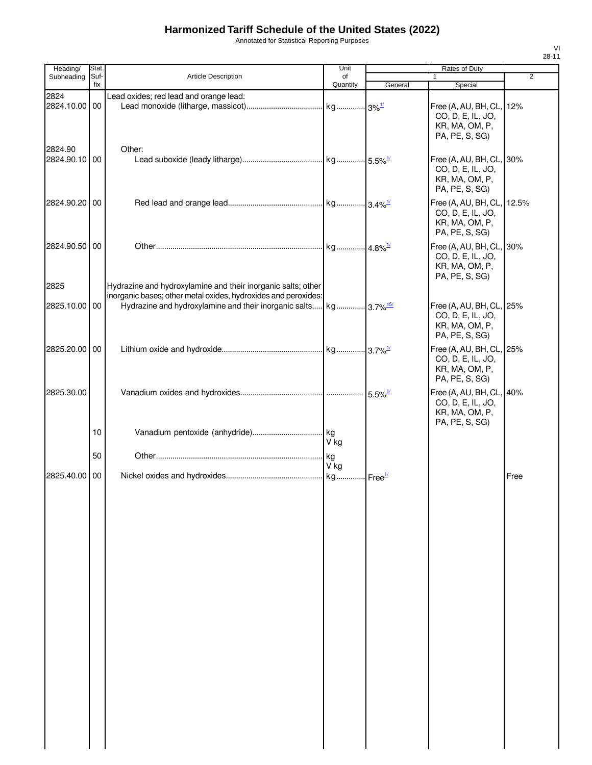Annotated for Statistical Reporting Purposes

| Heading/                 | Stat.       |                                                                                                                                                | Unit           |         | Rates of Duty                                                                                       |      |
|--------------------------|-------------|------------------------------------------------------------------------------------------------------------------------------------------------|----------------|---------|-----------------------------------------------------------------------------------------------------|------|
| Subheading               | Suf-<br>fix | Article Description                                                                                                                            | of<br>Quantity | General | $\mathbf{1}$<br>Special                                                                             | 2    |
| 2824<br>2824.10.00 00    |             | Lead oxides; red lead and orange lead:                                                                                                         |                |         | Free (A, AU, BH, CL, 12%<br>CO, D, E, IL, JO,<br>KR, MA, OM, P,                                     |      |
| 2824.90<br>2824.90.10 00 |             | Other:                                                                                                                                         |                |         | PA, PE, S, SG)<br>Free (A, AU, BH, CL, 30%<br>CO, D, E, IL, JO,<br>KR, MA, OM, P,<br>PA, PE, S, SG) |      |
| 2824.90.20 00            |             |                                                                                                                                                |                |         | Free (A, AU, BH, CL, 12.5%<br>CO, D, E, IL, JO,<br>KR, MA, OM, P,<br>PA, PE, S, SG)                 |      |
| 2824.90.50 00            |             |                                                                                                                                                |                |         | Free (A, AU, BH, CL, 30%<br>CO, D, E, IL, JO,<br>KR, MA, OM, P,<br>PA, PE, S, SG)                   |      |
| 2825                     |             | Hydrazine and hydroxylamine and their inorganic salts; other                                                                                   |                |         |                                                                                                     |      |
| 2825.10.00 00            |             | inorganic bases; other metal oxides, hydroxides and peroxides:<br>Hydrazine and hydroxylamine and their inorganic salts kg 3.7% <sup>15/</sup> |                |         | Free (A, AU, BH, CL, 25%<br>CO, D, E, IL, JO,<br>KR, MA, OM, P,<br>PA, PE, S, SG)                   |      |
| 2825.20.00 00            |             |                                                                                                                                                |                |         | Free (A, AU, BH, CL, 25%<br>CO, D, E, IL, JO,<br>KR, MA, OM, P,<br>PA, PE, S, SG)                   |      |
| 2825.30.00               |             |                                                                                                                                                |                |         | Free (A, AU, BH, CL, 40%<br>CO, D, E, IL, JO,<br>KR, MA, OM, P,<br>PA, PE, S, SG)                   |      |
|                          | 10          |                                                                                                                                                | V kg           |         |                                                                                                     |      |
|                          | 50          |                                                                                                                                                | kg             |         |                                                                                                     |      |
| 2825.40.00 00            |             |                                                                                                                                                | V kg           |         |                                                                                                     | Free |
|                          |             |                                                                                                                                                |                |         |                                                                                                     |      |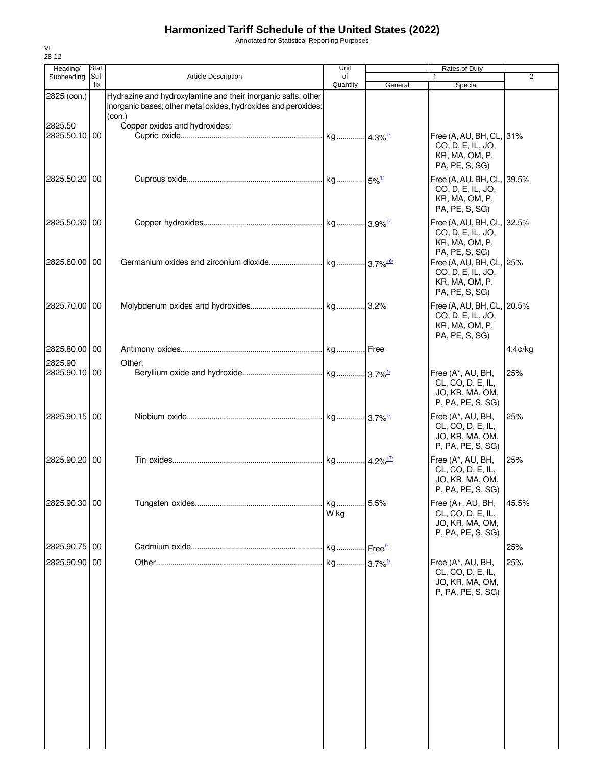Annotated for Statistical Reporting Purposes

| Stat. |                                                                                                                                                                                                                  | Unit                                    |         | Rates of Duty                                                                  |                                                                                                                                                                                                       |
|-------|------------------------------------------------------------------------------------------------------------------------------------------------------------------------------------------------------------------|-----------------------------------------|---------|--------------------------------------------------------------------------------|-------------------------------------------------------------------------------------------------------------------------------------------------------------------------------------------------------|
| fix   |                                                                                                                                                                                                                  | Quantity                                | General |                                                                                | 2                                                                                                                                                                                                     |
|       | Hydrazine and hydroxylamine and their inorganic salts; other<br>inorganic bases; other metal oxides, hydroxides and peroxides:                                                                                   |                                         |         |                                                                                |                                                                                                                                                                                                       |
|       | Copper oxides and hydroxides:                                                                                                                                                                                    |                                         |         | CO, D, E, IL, JO,<br>KR, MA, OM, P,<br>PA, PE, S, SG)                          |                                                                                                                                                                                                       |
|       |                                                                                                                                                                                                                  |                                         |         | CO, D, E, IL, JO,<br>KR, MA, OM, P,<br>PA, PE, S, SG)                          |                                                                                                                                                                                                       |
|       |                                                                                                                                                                                                                  |                                         |         | CO, D, E, IL, JO,<br>KR, MA, OM, P,                                            |                                                                                                                                                                                                       |
|       |                                                                                                                                                                                                                  |                                         |         | CO, D, E, IL, JO,<br>KR, MA, OM, P,<br>PA, PE, S, SG)                          |                                                                                                                                                                                                       |
|       |                                                                                                                                                                                                                  |                                         |         | CO, D, E, IL, JO,<br>KR, MA, OM, P,<br>PA, PE, S, SG)                          |                                                                                                                                                                                                       |
|       |                                                                                                                                                                                                                  |                                         |         |                                                                                | 4.4¢/kg                                                                                                                                                                                               |
|       |                                                                                                                                                                                                                  |                                         |         | Free (A*, AU, BH,<br>CL, CO, D, E, IL,<br>JO, KR, MA, OM,                      | 25%                                                                                                                                                                                                   |
|       |                                                                                                                                                                                                                  |                                         |         | Free (A*, AU, BH,<br>CL, CO, D, E, IL,<br>JO, KR, MA, OM,<br>P, PA, PE, S, SG) | 25%                                                                                                                                                                                                   |
|       |                                                                                                                                                                                                                  |                                         |         | Free (A*, AU, BH,<br>CL, CO, D, E, IL,<br>JO, KR, MA, OM,<br>P, PA, PE, S, SG) | 25%                                                                                                                                                                                                   |
|       |                                                                                                                                                                                                                  | W kg                                    |         | Free (A+, AU, BH,<br>CL, CO, D, E, IL,<br>JO, KR, MA, OM,<br>P, PA, PE, S, SG) | 45.5%                                                                                                                                                                                                 |
|       |                                                                                                                                                                                                                  |                                         |         |                                                                                | 25%                                                                                                                                                                                                   |
|       |                                                                                                                                                                                                                  |                                         |         | Free (A*, AU, BH,<br>CL, CO, D, E, IL,<br>JO, KR, MA, OM,<br>P, PA, PE, S, SG) | 25%                                                                                                                                                                                                   |
|       | Suf-<br>2825.50.10 00<br>2825.50.20 00<br>2825.50.30 00<br>2825.60.00 00<br>2825.70.00 00<br>2825.80.00 00<br>2825.90.10 00<br>2825.90.15 00<br>2825.90.20 00<br>2825.90.30 00<br>2825.90.75 00<br>2825.90.90 00 | Article Description<br>(con.)<br>Other: | of      | kg 5.5%                                                                        | 1<br>Special<br>Free (A, AU, BH, CL, 31%<br>Free (A, AU, BH, CL, 39.5%<br>Free (A, AU, BH, CL, 32.5%<br>PA, PE, S, SG)<br>Free (A, AU, BH, CL, 25%<br>Free (A, AU, BH, CL, 20.5%<br>P, PA, PE, S, SG) |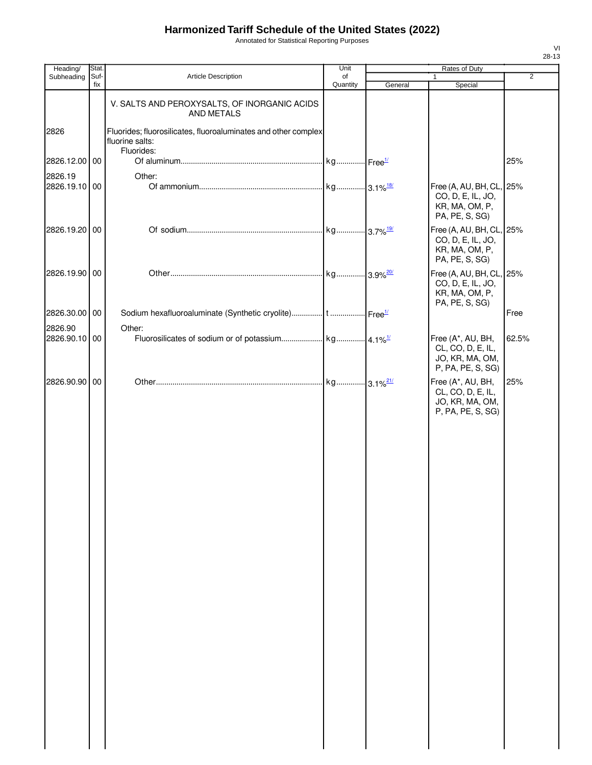Annotated for Statistical Reporting Purposes

| Heading/                 | Stat.       |                                                                                                 | Unit           |         | Rates of Duty                                                                                       |                |
|--------------------------|-------------|-------------------------------------------------------------------------------------------------|----------------|---------|-----------------------------------------------------------------------------------------------------|----------------|
| Subheading               | Suf-<br>fix | Article Description                                                                             | of<br>Quantity | General | Special                                                                                             | $\overline{2}$ |
|                          |             | V. SALTS AND PEROXYSALTS, OF INORGANIC ACIDS<br><b>AND METALS</b>                               |                |         |                                                                                                     |                |
| 2826                     |             | Fluorides; fluorosilicates, fluoroaluminates and other complex<br>fluorine salts:<br>Fluorides: |                |         |                                                                                                     |                |
| 2826.12.00 00            |             |                                                                                                 |                |         |                                                                                                     | 25%            |
| 2826.19<br>2826.19.10 00 |             | Other:                                                                                          |                |         | Free (A, AU, BH, CL, 25%<br>CO, D, E, IL, JO,<br>KR, MA, OM, P,                                     |                |
| 2826.19.20 00            |             |                                                                                                 |                |         | PA, PE, S, SG)<br>Free (A, AU, BH, CL, 25%<br>CO, D, E, IL, JO,<br>KR, MA, OM, P,<br>PA, PE, S, SG) |                |
| 2826.19.90 00            |             |                                                                                                 |                |         | Free (A, AU, BH, CL, 25%<br>CO, D, E, IL, JO,<br>KR, MA, OM, P,<br>PA, PE, S, SG)                   |                |
| 2826.30.00 00            |             |                                                                                                 |                |         |                                                                                                     | Free           |
| 2826.90<br>2826.90.10 00 |             | Other:                                                                                          |                |         | Free (A*, AU, BH,                                                                                   | 62.5%          |
|                          |             |                                                                                                 |                |         | CL, CO, D, E, IL,<br>JO, KR, MA, OM,<br>P, PA, PE, S, SG)                                           |                |
| 2826.90.90 00            |             |                                                                                                 |                |         | Free (A*, AU, BH,<br>CL, CO, D, E, IL,<br>JO, KR, MA, OM,<br>P, PA, PE, S, SG)                      | 25%            |
|                          |             |                                                                                                 |                |         |                                                                                                     |                |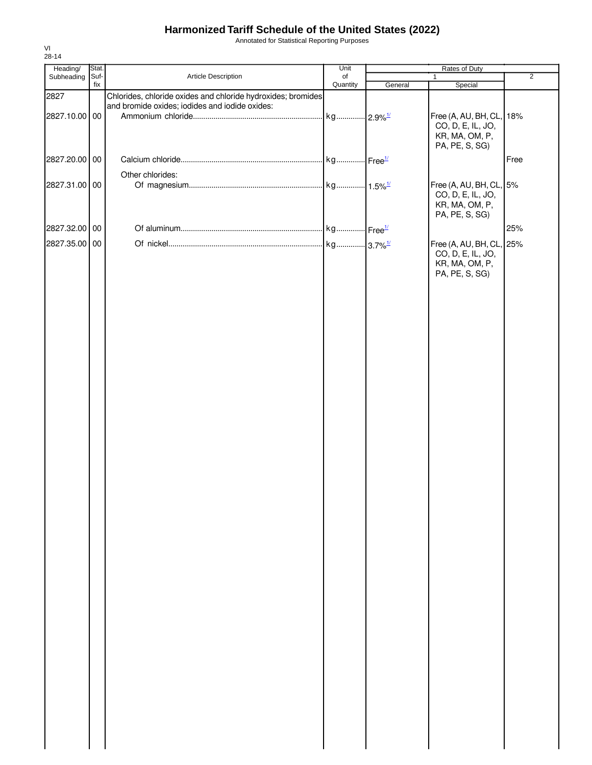Annotated for Statistical Reporting Purposes

| Heading/      | Stat. |                                                                                                                | Unit     | Rates of Duty |                                                                                  |                |
|---------------|-------|----------------------------------------------------------------------------------------------------------------|----------|---------------|----------------------------------------------------------------------------------|----------------|
| Subheading    | Suf-  | Article Description                                                                                            | of       |               | $\mathbf{1}$                                                                     | $\overline{2}$ |
|               | fix   |                                                                                                                | Quantity | General       | Special                                                                          |                |
| 2827          |       | Chlorides, chloride oxides and chloride hydroxides; bromides<br>and bromide oxides; iodides and iodide oxides: |          |               |                                                                                  |                |
| 2827.10.00 00 |       |                                                                                                                |          |               | Free (A, AU, BH, CL,<br>CO, D, E, IL, JO,<br>KR, MA, OM, P,<br>PA, PE, S, SG)    | 18%            |
| 2827.20.00 00 |       |                                                                                                                |          |               |                                                                                  | Free           |
| 2827.31.00 00 |       | Other chlorides:                                                                                               |          |               |                                                                                  |                |
|               |       |                                                                                                                |          |               | Free (A, AU, BH, CL, 5%<br>CO, D, E, IL, JO,<br>KR, MA, OM, P,<br>PA, PE, S, SG) |                |
| 2827.32.00 00 |       |                                                                                                                |          |               |                                                                                  | 25%            |
| 2827.35.00 00 |       |                                                                                                                |          |               | Free (A, AU, BH, CL,<br>CO, D, E, IL, JO,<br>KR, MA, OM, P,<br>PA, PE, S, SG)    | 25%            |
|               |       |                                                                                                                |          |               |                                                                                  |                |
|               |       |                                                                                                                |          |               |                                                                                  |                |
|               |       |                                                                                                                |          |               |                                                                                  |                |
|               |       |                                                                                                                |          |               |                                                                                  |                |
|               |       |                                                                                                                |          |               |                                                                                  |                |
|               |       |                                                                                                                |          |               |                                                                                  |                |
|               |       |                                                                                                                |          |               |                                                                                  |                |
|               |       |                                                                                                                |          |               |                                                                                  |                |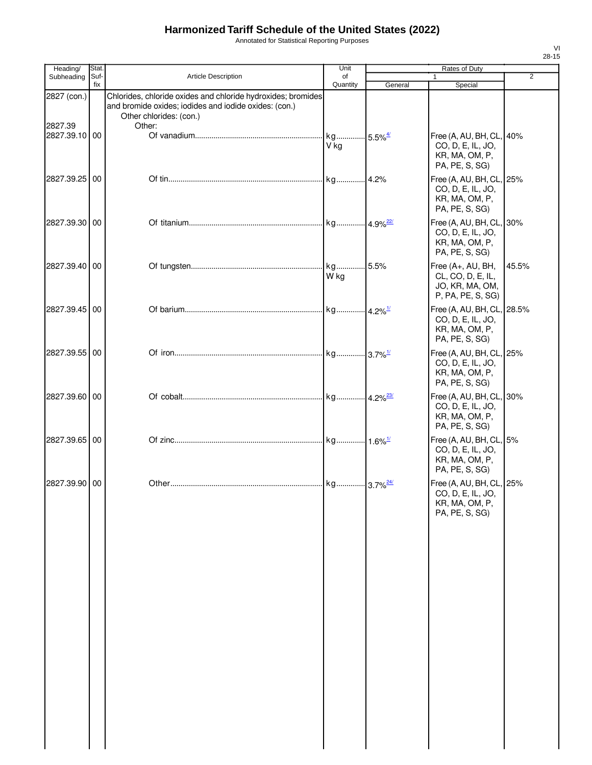Annotated for Statistical Reporting Purposes

| Heading/               | Stat.       |                                                                                                                                                            | Unit           |         | Rates of Duty                                                                       |                |
|------------------------|-------------|------------------------------------------------------------------------------------------------------------------------------------------------------------|----------------|---------|-------------------------------------------------------------------------------------|----------------|
| Subheading             | Suf-<br>fix | <b>Article Description</b>                                                                                                                                 | of<br>Quantity | General |                                                                                     | $\overline{2}$ |
| 2827 (con.)<br>2827.39 |             | Chlorides, chloride oxides and chloride hydroxides; bromides<br>and bromide oxides; iodides and iodide oxides: (con.)<br>Other chlorides: (con.)<br>Other: |                |         | Special                                                                             |                |
| 2827.39.10 00          |             |                                                                                                                                                            | V kg           |         | Free (A, AU, BH, CL, 40%<br>CO, D, E, IL, JO,<br>KR, MA, OM, P,<br>PA, PE, S, SG)   |                |
| 2827.39.25 00          |             |                                                                                                                                                            |                |         | Free (A, AU, BH, CL, 25%<br>CO, D, E, IL, JO,<br>KR, MA, OM, P,<br>PA, PE, S, SG)   |                |
| 2827.39.30 00          |             |                                                                                                                                                            |                |         | Free (A, AU, BH, CL, 30%<br>CO, D, E, IL, JO,<br>KR, MA, OM, P,<br>PA, PE, S, SG)   |                |
| 2827.39.40 00          |             |                                                                                                                                                            | W kg           |         | Free (A+, AU, BH,<br>CL, CO, D, E, IL,<br>JO, KR, MA, OM,<br>P, PA, PE, S, SG)      | 45.5%          |
| 2827.39.45 00          |             |                                                                                                                                                            |                |         | Free (A, AU, BH, CL, 28.5%<br>CO, D, E, IL, JO,<br>KR, MA, OM, P,<br>PA, PE, S, SG) |                |
| 2827.39.55 00          |             |                                                                                                                                                            |                |         | Free (A, AU, BH, CL, 25%<br>CO, D, E, IL, JO,<br>KR, MA, OM, P,<br>PA, PE, S, SG)   |                |
| 2827.39.60 00          |             |                                                                                                                                                            |                |         | Free (A, AU, BH, CL, 30%<br>CO, D, E, IL, JO,<br>KR, MA, OM, P,<br>PA, PE, S, SG)   |                |
| 2827.39.65 00          |             |                                                                                                                                                            |                |         | Free (A, AU, BH, CL, 5%<br>CO, D, E, IL, JO,<br>KR, MA, OM, P,<br>PA, PE, S, SG)    |                |
| 2827.39.90 00          |             |                                                                                                                                                            |                |         | Free (A, AU, BH, CL, 25%<br>CO, D, E, IL, JO,<br>KR, MA, OM, P,<br>PA, PE, S, SG)   |                |
|                        |             |                                                                                                                                                            |                |         |                                                                                     |                |
|                        |             |                                                                                                                                                            |                |         |                                                                                     |                |
|                        |             |                                                                                                                                                            |                |         |                                                                                     |                |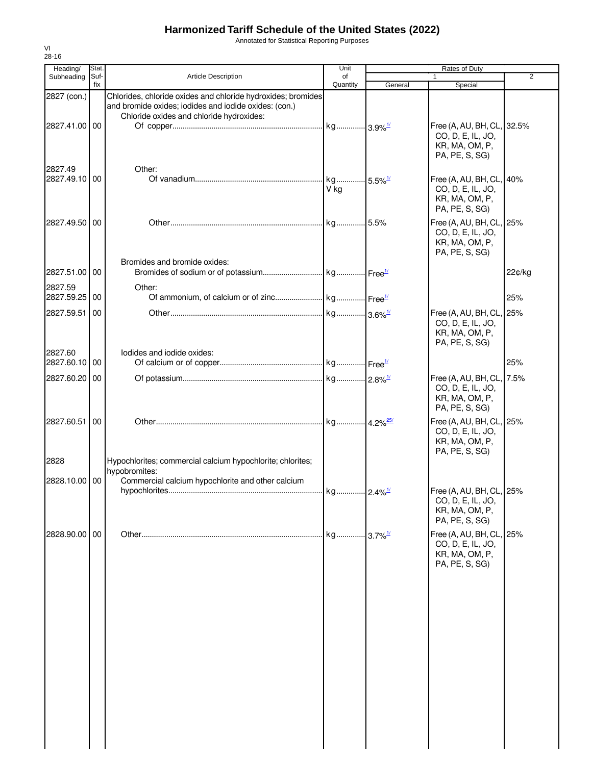Annotated for Statistical Reporting Purposes

| Heading/                 | Stat.       |                                                                                                                                                                   | Unit           |                        | Rates of Duty                                                                       |                |
|--------------------------|-------------|-------------------------------------------------------------------------------------------------------------------------------------------------------------------|----------------|------------------------|-------------------------------------------------------------------------------------|----------------|
| Subheading               | Suf-<br>fix | <b>Article Description</b>                                                                                                                                        | of<br>Quantity | General                | $\mathbf{1}$<br>Special                                                             | $\overline{2}$ |
| 2827 (con.)              |             | Chlorides, chloride oxides and chloride hydroxides; bromides<br>and bromide oxides; iodides and iodide oxides: (con.)<br>Chloride oxides and chloride hydroxides: |                |                        |                                                                                     |                |
| 2827.41.00 00            |             |                                                                                                                                                                   |                |                        | Free (A, AU, BH, CL, 32.5%<br>CO, D, E, IL, JO,<br>KR, MA, OM, P,<br>PA, PE, S, SG) |                |
| 2827.49<br>2827.49.10 00 |             | Other:                                                                                                                                                            | kg<br>V kg     | $-5.5\%$ <sup>1/</sup> | Free (A, AU, BH, CL, 40%<br>CO, D, E, IL, JO,<br>KR, MA, OM, P,<br>PA, PE, S, SG)   |                |
| 2827.49.50 00            |             | Bromides and bromide oxides:                                                                                                                                      | kg 5.5%        |                        | Free (A, AU, BH, CL, 25%<br>CO, D, E, IL, JO,<br>KR, MA, OM, P,<br>PA, PE, S, SG)   |                |
| 2827.51.00 00            |             |                                                                                                                                                                   |                |                        |                                                                                     | 22¢/kg         |
| 2827.59<br>2827.59.25    | 00          | Other:                                                                                                                                                            |                |                        |                                                                                     | 25%            |
| 2827.59.51               | -00         |                                                                                                                                                                   |                |                        | Free (A, AU, BH, CL, 25%<br>CO, D, E, IL, JO,<br>KR, MA, OM, P,<br>PA, PE, S, SG)   |                |
| 2827.60<br>2827.60.10 00 |             | lodides and iodide oxides:                                                                                                                                        |                |                        |                                                                                     | 25%            |
| 2827.60.20 00            |             |                                                                                                                                                                   |                |                        | Free (A, AU, BH, CL, 7.5%<br>CO, D, E, IL, JO,<br>KR, MA, OM, P,<br>PA, PE, S, SG)  |                |
| 2827.60.51               | 00          |                                                                                                                                                                   |                |                        | Free (A, AU, BH, CL, 25%<br>CO, D, E, IL, JO,<br>KR, MA, OM, P,<br>PA, PE, S, SG)   |                |
| 2828<br>2828.10.00 00    |             | Hypochlorites; commercial calcium hypochlorite; chlorites;<br>hypobromites:<br>Commercial calcium hypochlorite and other calcium                                  |                |                        |                                                                                     |                |
|                          |             |                                                                                                                                                                   |                |                        | Free (A, AU, BH, CL, 25%<br>CO, D, E, IL, JO,<br>KR, MA, OM, P,<br>PA, PE, S, SG)   |                |
| 2828.90.00 00            |             |                                                                                                                                                                   |                |                        | Free (A, AU, BH, CL, 25%<br>CO, D, E, IL, JO,<br>KR, MA, OM, P,<br>PA, PE, S, SG)   |                |
|                          |             |                                                                                                                                                                   |                |                        |                                                                                     |                |
|                          |             |                                                                                                                                                                   |                |                        |                                                                                     |                |
|                          |             |                                                                                                                                                                   |                |                        |                                                                                     |                |
|                          |             |                                                                                                                                                                   |                |                        |                                                                                     |                |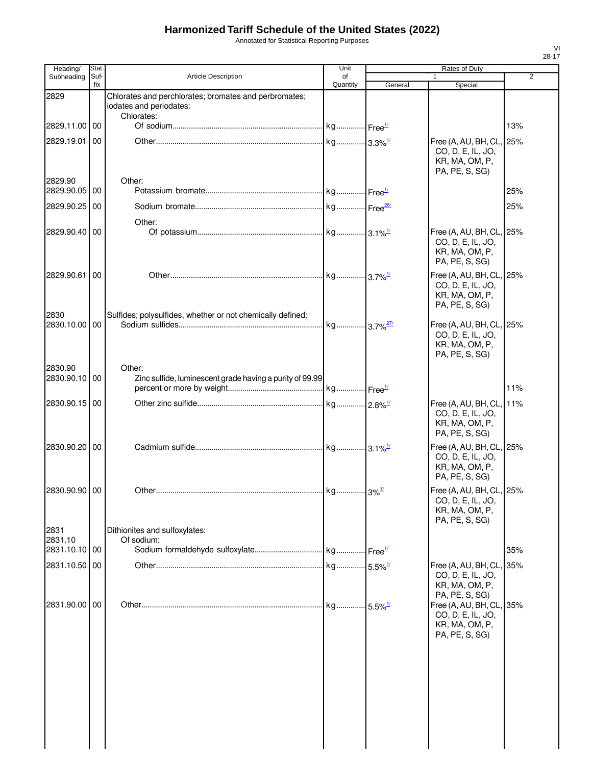Annotated for Statistical Reporting Purposes

| Heading/                         | Stat.       |                                                                                                | Unit           |         | Rates of Duty                                                                     |                |
|----------------------------------|-------------|------------------------------------------------------------------------------------------------|----------------|---------|-----------------------------------------------------------------------------------|----------------|
| Subheading                       | Suf-<br>fix | <b>Article Description</b>                                                                     | of<br>Quantity | General | Special                                                                           | $\overline{2}$ |
| 2829                             |             | Chlorates and perchlorates; bromates and perbromates;<br>iodates and periodates:<br>Chlorates: |                |         |                                                                                   |                |
| 2829.11.00 00                    |             |                                                                                                |                |         |                                                                                   | 13%            |
| 2829.19.01                       | 00          |                                                                                                |                |         | Free (A, AU, BH, CL,<br>CO, D, E, IL, JO,<br>KR, MA, OM, P,<br>PA, PE, S, SG)     | 25%            |
| 2829.90<br>2829.90.05            | 00          | Other:                                                                                         |                |         |                                                                                   | 25%            |
| 2829.90.25                       | 00          |                                                                                                |                |         |                                                                                   | 25%            |
| 2829.90.40 00                    |             | Other:                                                                                         |                |         | Free (A, AU, BH, CL, 25%<br>CO, D, E, IL, JO,<br>KR, MA, OM, P,<br>PA, PE, S, SG) |                |
| 2829.90.61                       | 00          |                                                                                                |                |         | Free (A, AU, BH, CL, 25%<br>CO, D, E, IL, JO,<br>KR, MA, OM, P,<br>PA, PE, S, SG) |                |
| 2830<br>2830.10.00               | 00          | Sulfides; polysulfides, whether or not chemically defined:                                     |                |         | Free (A, AU, BH, CL, 25%<br>CO, D, E, IL, JO,<br>KR, MA, OM, P,<br>PA, PE, S, SG) |                |
| 2830.90<br>2830.90.10 00         |             | Other:<br>Zinc sulfide, luminescent grade having a purity of 99.99                             |                |         |                                                                                   | 11%            |
| 2830.90.15 00                    |             |                                                                                                |                |         | Free (A, AU, BH, CL,<br>CO, D, E, IL, JO,<br>KR, MA, OM, P,<br>PA, PE, S, SG)     | 11%            |
| 2830.90.20                       | 00          |                                                                                                |                |         | Free (A, AU, BH, CL, 25%<br>CO, D, E, IL, JO,<br>KR, MA, OM, P,<br>PA, PE, S, SG) |                |
| 2830.90.90 00                    |             |                                                                                                |                |         | Free (A, AU, BH, CL, 25%<br>CO, D, E, IL, JO,<br>KR, MA, OM, P,<br>PA, PE, S, SG) |                |
| 2831<br>2831.10<br>2831.10.10 00 |             | Dithionites and sulfoxylates:<br>Of sodium:                                                    |                |         |                                                                                   | 35%            |
| 2831.10.50                       | 00          |                                                                                                |                |         | Free (A, AU, BH, CL,                                                              | 35%            |
|                                  |             |                                                                                                |                |         | CO, D, E, IL, JO,<br>KR, MA, OM, P,<br>PA, PE, S, SG)                             |                |
| 2831.90.00                       | 00          |                                                                                                |                |         | Free (A, AU, BH, CL,<br>CO, D, E, IL, JO,<br>KR, MA, OM, P,<br>PA, PE, S, SG)     | 35%            |
|                                  |             |                                                                                                |                |         |                                                                                   |                |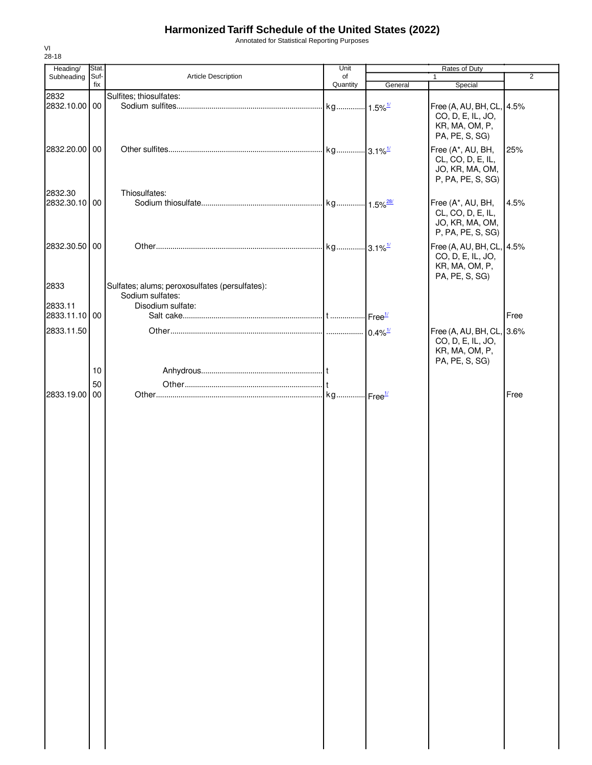Annotated for Statistical Reporting Purposes

| Heading/      | Stat. |                                                | Unit     |         | Rates of Duty             |                |
|---------------|-------|------------------------------------------------|----------|---------|---------------------------|----------------|
| Subheading    | Suf-  | <b>Article Description</b>                     | of       |         | $\mathbf{1}$              | $\overline{2}$ |
|               | fix   |                                                | Quantity | General | Special                   |                |
| 2832          |       | Sulfites; thiosulfates:                        |          |         |                           |                |
| 2832.10.00 00 |       |                                                |          |         | Free (A, AU, BH, CL, 4.5% |                |
|               |       |                                                |          |         | CO, D, E, IL, JO,         |                |
|               |       |                                                |          |         | KR, MA, OM, P,            |                |
|               |       |                                                |          |         | PA, PE, S, SG)            |                |
| 2832.20.00 00 |       |                                                |          |         | Free (A*, AU, BH,         | 25%            |
|               |       |                                                |          |         | CL, CO, D, E, IL,         |                |
|               |       |                                                |          |         | JO, KR, MA, OM,           |                |
|               |       |                                                |          |         | P, PA, PE, S, SG)         |                |
| 2832.30       |       | Thiosulfates:                                  |          |         |                           |                |
| 2832.30.10 00 |       |                                                |          |         | Free (A*, AU, BH,         | 4.5%           |
|               |       |                                                |          |         | CL, CO, D, E, IL,         |                |
|               |       |                                                |          |         | JO, KR, MA, OM,           |                |
|               |       |                                                |          |         | P, PA, PE, S, SG)         |                |
|               |       |                                                |          |         |                           |                |
| 2832.30.50 00 |       |                                                |          |         | Free (A, AU, BH, CL, 4.5% |                |
|               |       |                                                |          |         | CO, D, E, IL, JO,         |                |
|               |       |                                                |          |         | KR, MA, OM, P,            |                |
|               |       |                                                |          |         | PA, PE, S, SG)            |                |
| 2833          |       | Sulfates; alums; peroxosulfates (persulfates): |          |         |                           |                |
|               |       | Sodium sulfates:                               |          |         |                           |                |
| 2833.11       |       | Disodium sulfate:                              |          |         |                           |                |
| 2833.11.10 00 |       |                                                |          |         |                           | Free           |
| 2833.11.50    |       |                                                |          |         | Free (A, AU, BH, CL, 3.6% |                |
|               |       |                                                |          |         | CO, D, E, IL, JO,         |                |
|               |       |                                                |          |         | KR, MA, OM, P,            |                |
|               |       |                                                |          |         | PA, PE, S, SG)            |                |
|               | 10    |                                                |          |         |                           |                |
|               | 50    |                                                |          |         |                           |                |
|               |       |                                                |          |         |                           |                |
| 2833.19.00 00 |       |                                                |          |         |                           | Free           |
|               |       |                                                |          |         |                           |                |
|               |       |                                                |          |         |                           |                |
|               |       |                                                |          |         |                           |                |
|               |       |                                                |          |         |                           |                |
|               |       |                                                |          |         |                           |                |
|               |       |                                                |          |         |                           |                |
|               |       |                                                |          |         |                           |                |
|               |       |                                                |          |         |                           |                |
|               |       |                                                |          |         |                           |                |
|               |       |                                                |          |         |                           |                |
|               |       |                                                |          |         |                           |                |
|               |       |                                                |          |         |                           |                |
|               |       |                                                |          |         |                           |                |
|               |       |                                                |          |         |                           |                |
|               |       |                                                |          |         |                           |                |
|               |       |                                                |          |         |                           |                |
|               |       |                                                |          |         |                           |                |
|               |       |                                                |          |         |                           |                |
|               |       |                                                |          |         |                           |                |
|               |       |                                                |          |         |                           |                |
|               |       |                                                |          |         |                           |                |
|               |       |                                                |          |         |                           |                |
|               |       |                                                |          |         |                           |                |
|               |       |                                                |          |         |                           |                |
|               |       |                                                |          |         |                           |                |
|               |       |                                                |          |         |                           |                |
|               |       |                                                |          |         |                           |                |
|               |       |                                                |          |         |                           |                |
|               |       |                                                |          |         |                           |                |
|               |       |                                                |          |         |                           |                |
|               |       |                                                |          |         |                           |                |
|               |       |                                                |          |         |                           |                |
|               |       |                                                |          |         |                           |                |
|               |       |                                                |          |         |                           |                |
|               |       |                                                |          |         |                           |                |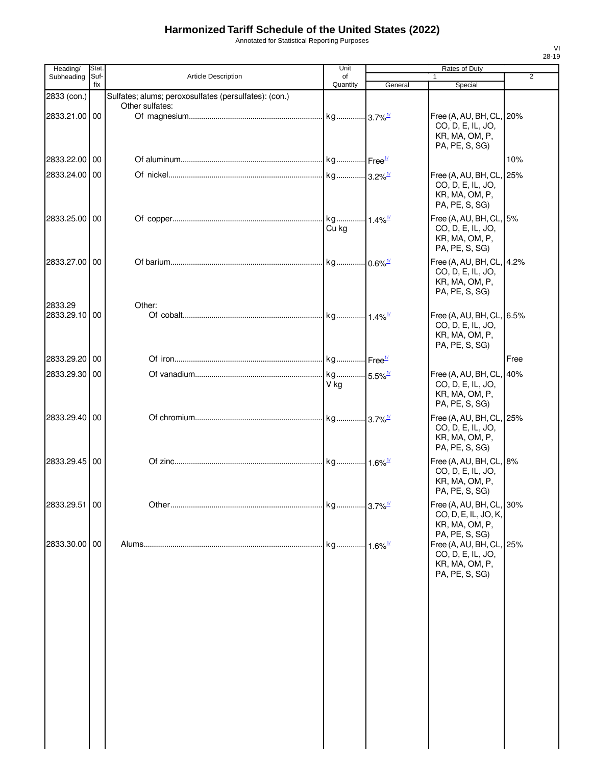Annotated for Statistical Reporting Purposes

| Heading/      | Stat.       |                                                       | Unit           |         | Rates of Duty                                                                        |                |
|---------------|-------------|-------------------------------------------------------|----------------|---------|--------------------------------------------------------------------------------------|----------------|
| Subheading    | Suf-<br>fix | <b>Article Description</b>                            | of<br>Quantity | General | Special                                                                              | $\overline{2}$ |
| 2833 (con.)   |             | Sulfates; alums; peroxosulfates (persulfates): (con.) |                |         |                                                                                      |                |
| 2833.21.00 00 |             | Other sulfates:                                       |                |         | Free (A, AU, BH, CL, 20%<br>CO, D, E, IL, JO,<br>KR, MA, OM, P,<br>PA, PE, S, SG)    |                |
| 2833.22.00 00 |             |                                                       |                |         |                                                                                      | 10%            |
| 2833.24.00 00 |             |                                                       |                |         | Free (A, AU, BH, CL, 25%                                                             |                |
|               |             |                                                       |                |         | CO, D, E, IL, JO,<br>KR, MA, OM, P,<br>PA, PE, S, SG)                                |                |
| 2833.25.00 00 |             |                                                       | Cu kg          |         | Free (A, AU, BH, CL, 5%<br>CO, D, E, IL, JO,<br>KR, MA, OM, P,<br>PA, PE, S, SG)     |                |
| 2833.27.00 00 |             |                                                       |                |         | Free (A, AU, BH, CL, 4.2%<br>CO, D, E, IL, JO,<br>KR, MA, OM, P,<br>PA, PE, S, SG)   |                |
| 2833.29       |             | Other:                                                |                |         |                                                                                      |                |
| 2833.29.10 00 |             |                                                       |                |         | Free (A, AU, BH, CL, 6.5%<br>CO, D, E, IL, JO,<br>KR, MA, OM, P,<br>PA, PE, S, SG)   |                |
| 2833.29.20 00 |             |                                                       |                |         |                                                                                      | Free           |
| 2833.29.30 00 |             |                                                       | V kg           |         | Free (A, AU, BH, CL, 40%<br>CO, D, E, IL, JO,<br>KR, MA, OM, P,<br>PA, PE, S, SG)    |                |
| 2833.29.40 00 |             |                                                       |                |         | Free (A, AU, BH, CL, 25%<br>CO, D, E, IL, JO,<br>KR, MA, OM, P,<br>PA, PE, S, SG)    |                |
| 2833.29.45 00 |             |                                                       |                |         | Free (A, AU, BH, CL, 8%<br>CO, D, E, IL, JO,<br>KR, MA, OM, P,<br>PA, PE, S, SG)     |                |
| 2833.29.51 00 |             |                                                       |                |         | Free (A, AU, BH, CL, 30%<br>CO, D, E, IL, JO, K,<br>KR, MA, OM, P,<br>PA, PE, S, SG) |                |
| 2833.30.00 00 |             |                                                       |                |         | Free (A, AU, BH, CL, 25%<br>CO, D, E, IL, JO,<br>KR, MA, OM, P,<br>PA, PE, S, SG)    |                |
|               |             |                                                       |                |         |                                                                                      |                |
|               |             |                                                       |                |         |                                                                                      |                |
|               |             |                                                       |                |         |                                                                                      |                |
|               |             |                                                       |                |         |                                                                                      |                |
|               |             |                                                       |                |         |                                                                                      |                |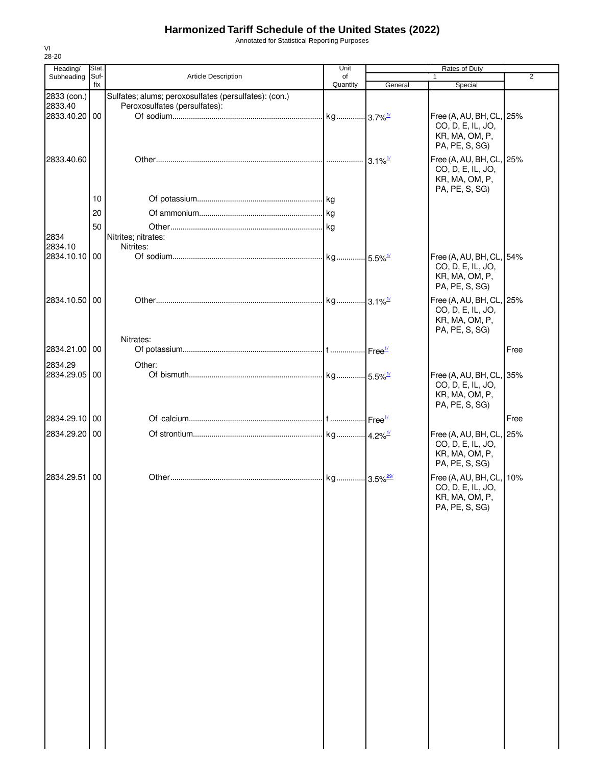Annotated for Statistical Reporting Purposes

| 28-20                    |             |                                                                                        |                |                       |                                                                                   |                |
|--------------------------|-------------|----------------------------------------------------------------------------------------|----------------|-----------------------|-----------------------------------------------------------------------------------|----------------|
| Heading/                 | Stat.       |                                                                                        | Unit           |                       | Rates of Duty                                                                     |                |
| Subheading               | Suf-<br>fix | Article Description                                                                    | of<br>Quantity | General               | 1<br>Special                                                                      | $\overline{2}$ |
| 2833 (con.)<br>2833.40   |             | Sulfates; alums; peroxosulfates (persulfates): (con.)<br>Peroxosulfates (persulfates): |                |                       |                                                                                   |                |
| 2833.40.20 00            |             |                                                                                        |                |                       | Free (A, AU, BH, CL, 25%<br>CO, D, E, IL, JO,<br>KR, MA, OM, P,<br>PA, PE, S, SG) |                |
| 2833.40.60               |             |                                                                                        |                | $3.1\%$ <sup>1/</sup> | Free (A, AU, BH, CL, 25%<br>CO, D, E, IL, JO,<br>KR, MA, OM, P,<br>PA, PE, S, SG) |                |
|                          | 10          |                                                                                        |                |                       |                                                                                   |                |
|                          | 20          |                                                                                        |                |                       |                                                                                   |                |
|                          | 50          |                                                                                        |                |                       |                                                                                   |                |
| 2834                     |             | Nitrites; nitrates:                                                                    |                |                       |                                                                                   |                |
| 2834.10<br>2834.10.10 00 |             | Nitrites:                                                                              |                |                       |                                                                                   |                |
|                          |             |                                                                                        |                |                       | Free (A, AU, BH, CL, 54%<br>CO, D, E, IL, JO,<br>KR, MA, OM, P,<br>PA, PE, S, SG) |                |
| 2834.10.50 00            |             |                                                                                        |                |                       | Free (A, AU, BH, CL, 25%<br>CO, D, E, IL, JO,<br>KR, MA, OM, P,<br>PA, PE, S, SG) |                |
|                          |             | Nitrates:                                                                              |                |                       |                                                                                   |                |
| 2834.21.00 00            |             |                                                                                        |                |                       |                                                                                   | Free           |
| 2834.29<br>2834.29.05 00 |             | Other:                                                                                 |                |                       | Free (A, AU, BH, CL, 35%<br>CO, D, E, IL, JO,<br>KR, MA, OM, P,<br>PA, PE, S, SG) |                |
| 2834.29.10 00            |             |                                                                                        |                |                       |                                                                                   | Free           |
|                          |             |                                                                                        |                |                       |                                                                                   |                |
| 2834.29.20 00            |             |                                                                                        |                |                       | Free (A, AU, BH, CL, 25%<br>CO, D, E, IL, JO,<br>KR, MA, OM, P,<br>PA, PE, S, SG) |                |
| 2834.29.51 00            |             |                                                                                        |                |                       | Free (A, AU, BH, CL, 10%<br>CO, D, E, IL, JO,<br>KR, MA, OM, P,<br>PA, PE, S, SG) |                |
|                          |             |                                                                                        |                |                       |                                                                                   |                |
|                          |             |                                                                                        |                |                       |                                                                                   |                |
|                          |             |                                                                                        |                |                       |                                                                                   |                |
|                          |             |                                                                                        |                |                       |                                                                                   |                |
|                          |             |                                                                                        |                |                       |                                                                                   |                |
|                          |             |                                                                                        |                |                       |                                                                                   |                |

VI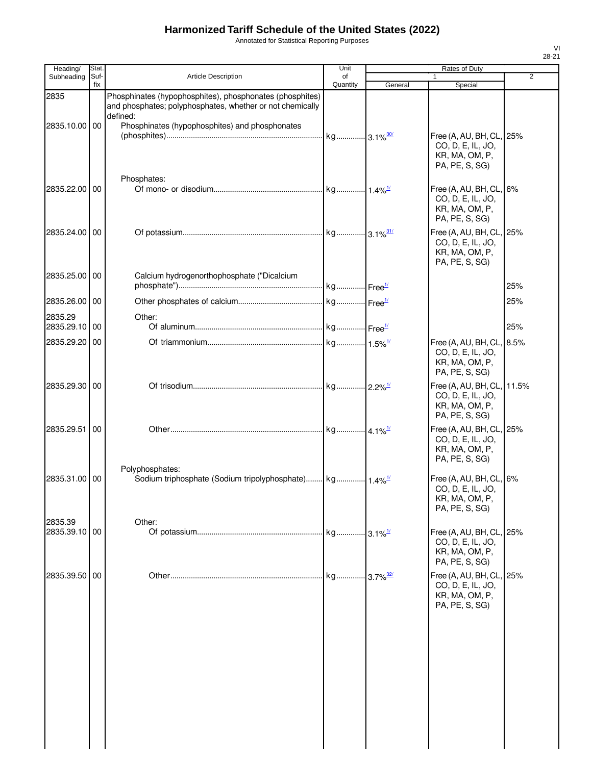Annotated for Statistical Reporting Purposes

| Heading/                 | Stat.       |                                                                                                                                   | Unit                   |         | Rates of Duty                                                                       |                |
|--------------------------|-------------|-----------------------------------------------------------------------------------------------------------------------------------|------------------------|---------|-------------------------------------------------------------------------------------|----------------|
| Subheading               | Suf-<br>fix | <b>Article Description</b>                                                                                                        | of<br>Quantity         | General | Special                                                                             | $\overline{2}$ |
| 2835                     |             | Phosphinates (hypophosphites), phosphonates (phosphites)<br>and phosphates; polyphosphates, whether or not chemically<br>defined: |                        |         |                                                                                     |                |
| 2835.10.00 00            |             | Phosphinates (hypophosphites) and phosphonates                                                                                    | kg 3.1% <sup>30/</sup> |         | Free (A, AU, BH, CL, 25%<br>CO, D, E, IL, JO,<br>KR, MA, OM, P,<br>PA, PE, S, SG)   |                |
| 2835.22.00               | 00          | Phosphates:                                                                                                                       |                        |         | Free (A, AU, BH, CL, 6%<br>CO, D, E, IL, JO,<br>KR, MA, OM, P,<br>PA, PE, S, SG)    |                |
| 2835.24.00 00            |             |                                                                                                                                   |                        |         | Free (A, AU, BH, CL, 25%<br>CO, D, E, IL, JO,<br>KR, MA, OM, P,<br>PA, PE, S, SG)   |                |
| 2835.25.00 00            |             | Calcium hydrogenorthophosphate ("Dicalcium                                                                                        |                        |         |                                                                                     | 25%            |
| 2835.26.00 00            |             |                                                                                                                                   |                        |         |                                                                                     | 25%            |
| 2835.29<br>2835.29.10 00 |             | Other:                                                                                                                            |                        |         |                                                                                     | 25%            |
| 2835.29.20               | 00          |                                                                                                                                   |                        |         | Free (A, AU, BH, CL, 8.5%                                                           |                |
|                          |             |                                                                                                                                   |                        |         | CO, D, E, IL, JO,<br>KR, MA, OM, P,<br>PA, PE, S, SG)                               |                |
| 2835.29.30               | 00          |                                                                                                                                   |                        |         | Free (A, AU, BH, CL, 11.5%<br>CO, D, E, IL, JO,<br>KR, MA, OM, P,<br>PA, PE, S, SG) |                |
| 2835.29.51               | 00          |                                                                                                                                   |                        |         | Free (A, AU, BH, CL, 25%<br>CO, D, E, IL, JO,<br>KR, MA, OM, P,<br>PA, PE, S, SG)   |                |
| 2835.31.00               | 00          | Polyphosphates:                                                                                                                   |                        |         | Free (A, AU, BH, CL, 6%<br>CO, D, E, IL, JO,<br>KR, MA, OM, P,<br>PA, PE, S, SG)    |                |
| 2835.39                  |             | Other:                                                                                                                            |                        |         | Free (A, AU, BH, CL, 25%                                                            |                |
| 2835.39.10 00            |             |                                                                                                                                   |                        |         | CO, D, E, IL, JO,<br>KR, MA, OM, P,<br>PA, PE, S, SG)                               |                |
| 2835.39.50               | 00          |                                                                                                                                   | kg 3.7% <sup>32/</sup> |         | Free (A, AU, BH, CL, 25%<br>CO, D, E, IL, JO,<br>KR, MA, OM, P,<br>PA, PE, S, SG)   |                |
|                          |             |                                                                                                                                   |                        |         |                                                                                     |                |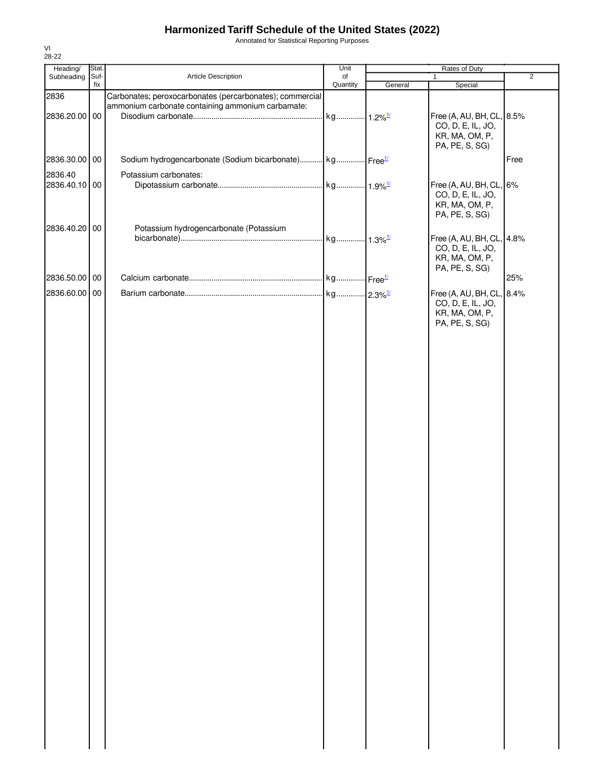Annotated for Statistical Reporting Purposes

| Heading/      | Stat. |                                                                                                               | Unit     |         | Rates of Duty                                                                      |                |
|---------------|-------|---------------------------------------------------------------------------------------------------------------|----------|---------|------------------------------------------------------------------------------------|----------------|
| Subheading    | Suf-  | Article Description                                                                                           | of       |         | 1                                                                                  | $\overline{2}$ |
| 2836          | fix   | Carbonates; peroxocarbonates (percarbonates); commercial<br>ammonium carbonate containing ammonium carbamate: | Quantity | General | Special                                                                            |                |
| 2836.20.00 00 |       |                                                                                                               |          |         | Free (A, AU, BH, CL, 8.5%<br>CO, D, E, IL, JO,<br>KR, MA, OM, P,<br>PA, PE, S, SG) |                |
| 2836.30.00 00 |       | Sodium hydrogencarbonate (Sodium bicarbonate) kg Free <sup>1/</sup>                                           |          |         |                                                                                    | Free           |
| 2836.40       |       | Potassium carbonates:                                                                                         |          |         |                                                                                    |                |
| 2836.40.10 00 |       |                                                                                                               |          |         | Free (A, AU, BH, CL, 6%<br>CO, D, E, IL, JO,<br>KR, MA, OM, P,<br>PA, PE, S, SG)   |                |
| 2836.40.20    | 00    | Potassium hydrogencarbonate (Potassium                                                                        |          |         |                                                                                    |                |
|               |       |                                                                                                               |          |         | Free (A, AU, BH, CL, 4.8%<br>CO, D, E, IL, JO,<br>KR, MA, OM, P,<br>PA, PE, S, SG) |                |
| 2836.50.00 00 |       |                                                                                                               |          |         |                                                                                    | 25%            |
| 2836.60.00    | 00    |                                                                                                               |          |         | Free (A, AU, BH, CL, 8.4%<br>CO, D, E, IL, JO,<br>KR, MA, OM, P,<br>PA, PE, S, SG) |                |
|               |       |                                                                                                               |          |         |                                                                                    |                |
|               |       |                                                                                                               |          |         |                                                                                    |                |
|               |       |                                                                                                               |          |         |                                                                                    |                |
|               |       |                                                                                                               |          |         |                                                                                    |                |
|               |       |                                                                                                               |          |         |                                                                                    |                |
|               |       |                                                                                                               |          |         |                                                                                    |                |
|               |       |                                                                                                               |          |         |                                                                                    |                |
|               |       |                                                                                                               |          |         |                                                                                    |                |
|               |       |                                                                                                               |          |         |                                                                                    |                |
|               |       |                                                                                                               |          |         |                                                                                    |                |
|               |       |                                                                                                               |          |         |                                                                                    |                |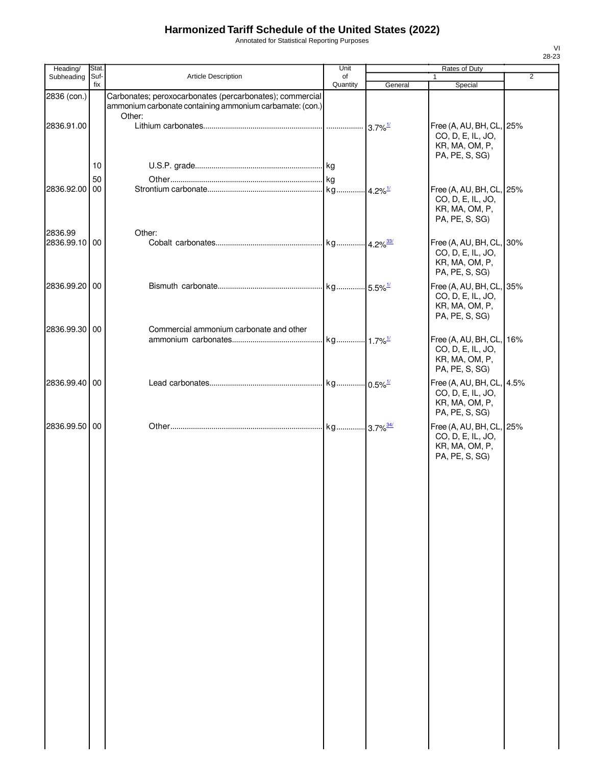Annotated for Statistical Reporting Purposes

| Heading/      | Stat.       |                                                          | Unit           |                       | Rates of Duty                       |                |
|---------------|-------------|----------------------------------------------------------|----------------|-----------------------|-------------------------------------|----------------|
| Subheading    | Suf-<br>fix | Article Description                                      | of<br>Quantity | General               | $\mathbf{1}$<br>Special             | $\overline{2}$ |
| 2836 (con.)   |             | Carbonates; peroxocarbonates (percarbonates); commercial |                |                       |                                     |                |
|               |             | ammonium carbonate containing ammonium carbamate: (con.) |                |                       |                                     |                |
|               |             | Other:                                                   |                |                       |                                     |                |
| 2836.91.00    |             |                                                          |                | $3.7\%$ <sup>1/</sup> | Free (A, AU, BH, CL, 25%            |                |
|               |             |                                                          |                |                       | CO, D, E, IL, JO,<br>KR, MA, OM, P, |                |
|               |             |                                                          |                |                       | PA, PE, S, SG)                      |                |
|               | 10          |                                                          |                |                       |                                     |                |
|               | 50          |                                                          |                |                       |                                     |                |
| 2836.92.00 00 |             |                                                          |                | $4.2\%$ <sup>1/</sup> | Free (A, AU, BH, CL, 25%            |                |
|               |             |                                                          |                |                       | CO, D, E, IL, JO,                   |                |
|               |             |                                                          |                |                       | KR, MA, OM, P,                      |                |
|               |             |                                                          |                |                       | PA, PE, S, SG)                      |                |
| 2836.99       |             | Other:                                                   |                |                       |                                     |                |
| 2836.99.10 00 |             |                                                          |                |                       | Free (A, AU, BH, CL, 30%            |                |
|               |             |                                                          |                |                       | CO, D, E, IL, JO,                   |                |
|               |             |                                                          |                |                       | KR, MA, OM, P,                      |                |
|               |             |                                                          |                |                       | PA, PE, S, SG)                      |                |
| 2836.99.20 00 |             |                                                          |                |                       | Free (A, AU, BH, CL, 35%            |                |
|               |             |                                                          |                |                       | CO, D, E, IL, JO,                   |                |
|               |             |                                                          |                |                       | KR, MA, OM, P,<br>PA, PE, S, SG)    |                |
|               |             |                                                          |                |                       |                                     |                |
| 2836.99.30 00 |             | Commercial ammonium carbonate and other                  |                |                       | Free (A, AU, BH, CL, 16%            |                |
|               |             |                                                          |                |                       | CO, D, E, IL, JO,                   |                |
|               |             |                                                          |                |                       | KR, MA, OM, P,                      |                |
|               |             |                                                          |                |                       | PA, PE, S, SG)                      |                |
| 2836.99.40 00 |             |                                                          |                |                       | Free (A, AU, BH, CL, 4.5%           |                |
|               |             |                                                          |                |                       | CO, D, E, IL, JO,                   |                |
|               |             |                                                          |                |                       | KR, MA, OM, P,                      |                |
|               |             |                                                          |                |                       | PA, PE, S, SG)                      |                |
| 2836.99.50 00 |             |                                                          |                |                       | Free (A, AU, BH, CL, 25%            |                |
|               |             |                                                          |                |                       | CO, D, E, IL, JO,                   |                |
|               |             |                                                          |                |                       | KR, MA, OM, P,                      |                |
|               |             |                                                          |                |                       | PA, PE, S, SG)                      |                |
|               |             |                                                          |                |                       |                                     |                |
|               |             |                                                          |                |                       |                                     |                |
|               |             |                                                          |                |                       |                                     |                |
|               |             |                                                          |                |                       |                                     |                |
|               |             |                                                          |                |                       |                                     |                |
|               |             |                                                          |                |                       |                                     |                |
|               |             |                                                          |                |                       |                                     |                |
|               |             |                                                          |                |                       |                                     |                |
|               |             |                                                          |                |                       |                                     |                |
|               |             |                                                          |                |                       |                                     |                |
|               |             |                                                          |                |                       |                                     |                |
|               |             |                                                          |                |                       |                                     |                |
|               |             |                                                          |                |                       |                                     |                |
|               |             |                                                          |                |                       |                                     |                |
|               |             |                                                          |                |                       |                                     |                |
|               |             |                                                          |                |                       |                                     |                |
|               |             |                                                          |                |                       |                                     |                |
|               |             |                                                          |                |                       |                                     |                |
|               |             |                                                          |                |                       |                                     |                |
|               |             |                                                          |                |                       |                                     |                |
|               |             |                                                          |                |                       |                                     |                |
|               |             |                                                          |                |                       |                                     |                |
|               |             |                                                          |                |                       |                                     |                |
|               |             |                                                          |                |                       |                                     |                |
|               |             |                                                          |                |                       |                                     |                |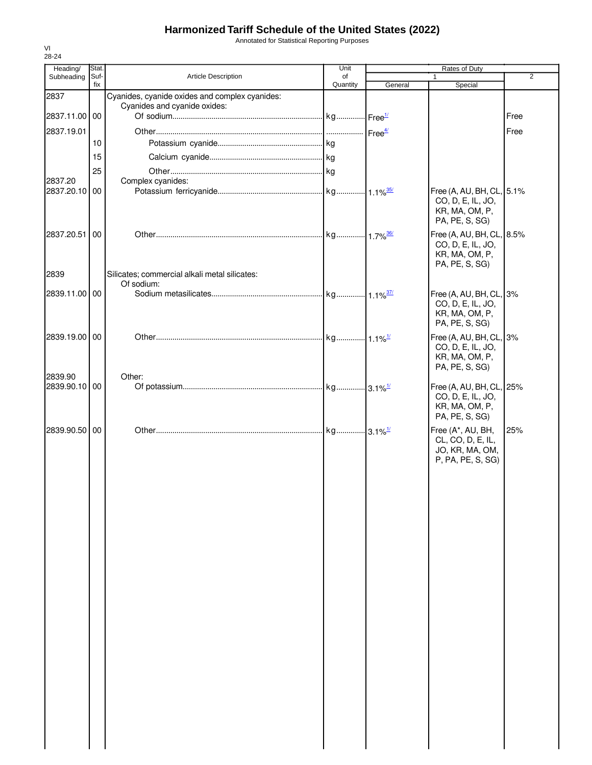Annotated for Statistical Reporting Purposes

| Heading/      | Stat.       |                                                             | Unit           |         | Rates of Duty                                         |                |
|---------------|-------------|-------------------------------------------------------------|----------------|---------|-------------------------------------------------------|----------------|
| Subheading    | Suf-<br>fix | Article Description                                         | of<br>Quantity | General | 1<br>Special                                          | $\overline{2}$ |
| 2837          |             | Cyanides, cyanide oxides and complex cyanides:              |                |         |                                                       |                |
|               |             | Cyanides and cyanide oxides:                                |                |         |                                                       |                |
| 2837.11.00 00 |             |                                                             |                |         |                                                       | Free           |
| 2837.19.01    |             |                                                             |                |         |                                                       | Free           |
|               | 10          |                                                             |                |         |                                                       |                |
|               | 15          |                                                             |                |         |                                                       |                |
|               | 25          |                                                             |                |         |                                                       |                |
| 2837.20       |             | Complex cyanides:                                           |                |         |                                                       |                |
| 2837.20.10 00 |             |                                                             |                |         | Free (A, AU, BH, CL, 5.1%                             |                |
|               |             |                                                             |                |         | CO, D, E, IL, JO,<br>KR, MA, OM, P,<br>PA, PE, S, SG) |                |
| 2837.20.51 00 |             |                                                             |                |         | Free (A, AU, BH, CL, 8.5%                             |                |
|               |             |                                                             |                |         | CO, D, E, IL, JO,<br>KR, MA, OM, P,<br>PA, PE, S, SG) |                |
| 2839          |             | Silicates; commercial alkali metal silicates:<br>Of sodium: |                |         |                                                       |                |
| 2839.11.00 00 |             |                                                             |                |         | Free (A, AU, BH, CL, 3%<br>CO, D, E, IL, JO,          |                |
|               |             |                                                             |                |         | KR, MA, OM, P,<br>PA, PE, S, SG)                      |                |
| 2839.19.00 00 |             |                                                             |                |         | Free (A, AU, BH, CL, 3%<br>CO, D, E, IL, JO,          |                |
|               |             |                                                             |                |         | KR, MA, OM, P,                                        |                |
|               |             |                                                             |                |         | PA, PE, S, SG)                                        |                |
| 2839.90       |             | Other:                                                      |                |         |                                                       |                |
| 2839.90.10 00 |             |                                                             |                |         | Free (A, AU, BH, CL, 25%<br>CO, D, E, IL, JO,         |                |
|               |             |                                                             |                |         | KR, MA, OM, P,                                        |                |
|               |             |                                                             |                |         | PA, PE, S, SG)                                        |                |
| 2839.90.50 00 |             |                                                             |                |         | Free (A*, AU, BH,                                     | 25%            |
|               |             |                                                             |                |         | CL, CO, D, E, IL,                                     |                |
|               |             |                                                             |                |         | JO, KR, MA, OM,<br>P, PA, PE, S, SG)                  |                |
|               |             |                                                             |                |         |                                                       |                |
|               |             |                                                             |                |         |                                                       |                |
|               |             |                                                             |                |         |                                                       |                |
|               |             |                                                             |                |         |                                                       |                |
|               |             |                                                             |                |         |                                                       |                |
|               |             |                                                             |                |         |                                                       |                |
|               |             |                                                             |                |         |                                                       |                |
|               |             |                                                             |                |         |                                                       |                |
|               |             |                                                             |                |         |                                                       |                |
|               |             |                                                             |                |         |                                                       |                |
|               |             |                                                             |                |         |                                                       |                |
|               |             |                                                             |                |         |                                                       |                |
|               |             |                                                             |                |         |                                                       |                |
|               |             |                                                             |                |         |                                                       |                |
|               |             |                                                             |                |         |                                                       |                |
|               |             |                                                             |                |         |                                                       |                |
|               |             |                                                             |                |         |                                                       |                |
|               |             |                                                             |                |         |                                                       |                |
|               |             |                                                             |                |         |                                                       |                |
|               |             |                                                             |                |         |                                                       |                |
|               |             |                                                             |                |         |                                                       |                |
|               |             |                                                             |                |         |                                                       |                |
|               |             |                                                             |                |         |                                                       |                |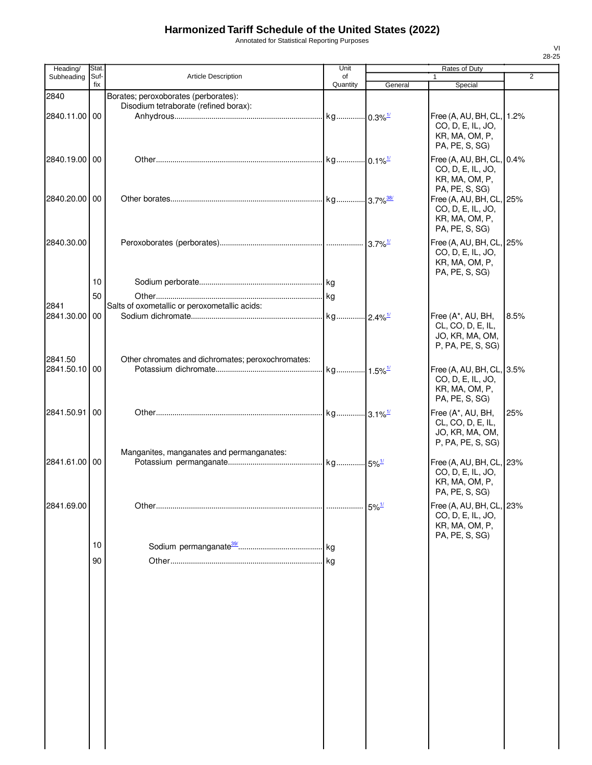Annotated for Statistical Reporting Purposes

| Heading/                 | Stat.       |                                                   | Unit           |                     | Rates of Duty                                 |                |
|--------------------------|-------------|---------------------------------------------------|----------------|---------------------|-----------------------------------------------|----------------|
| Subheading               | Suf-<br>fix | Article Description                               | of<br>Quantity | General             | $\mathbf{1}$<br>Special                       | $\overline{2}$ |
| 2840                     |             | Borates; peroxoborates (perborates):              |                |                     |                                               |                |
|                          |             | Disodium tetraborate (refined borax):             |                |                     |                                               |                |
| 2840.11.00 00            |             |                                                   |                |                     | Free (A, AU, BH, CL, 1.2%                     |                |
|                          |             |                                                   |                |                     | CO, D, E, IL, JO,                             |                |
|                          |             |                                                   |                |                     | KR, MA, OM, P,                                |                |
|                          |             |                                                   |                |                     | PA, PE, S, SG)                                |                |
| 2840.19.00 00            |             |                                                   |                |                     | Free (A, AU, BH, CL, 0.4%                     |                |
|                          |             |                                                   |                |                     | CO, D, E, IL, JO,                             |                |
|                          |             |                                                   |                |                     | KR, MA, OM, P,                                |                |
| 2840.20.00 00            |             |                                                   |                |                     | PA, PE, S, SG)<br>Free (A, AU, BH, CL, 25%    |                |
|                          |             |                                                   |                |                     | CO, D, E, IL, JO,                             |                |
|                          |             |                                                   |                |                     | KR, MA, OM, P,                                |                |
|                          |             |                                                   |                |                     | PA, PE, S, SG)                                |                |
| 2840.30.00               |             |                                                   |                |                     | Free (A, AU, BH, CL, 25%                      |                |
|                          |             |                                                   |                |                     | CO, D, E, IL, JO,                             |                |
|                          |             |                                                   |                |                     | KR, MA, OM, P,                                |                |
|                          |             |                                                   |                |                     | PA, PE, S, SG)                                |                |
|                          | 10          |                                                   |                |                     |                                               |                |
|                          | 50          |                                                   |                |                     |                                               |                |
| 2841                     |             | Salts of oxometallic or peroxometallic acids:     |                |                     |                                               |                |
| 2841.30.00 00            |             |                                                   |                |                     | Free (A*, AU, BH,                             | 8.5%           |
|                          |             |                                                   |                |                     | CL, CO, D, E, IL,<br>JO, KR, MA, OM,          |                |
|                          |             |                                                   |                |                     | P, PA, PE, S, SG)                             |                |
|                          |             |                                                   |                |                     |                                               |                |
| 2841.50<br>2841.50.10 00 |             | Other chromates and dichromates; peroxochromates: |                |                     | Free (A, AU, BH, CL, 3.5%                     |                |
|                          |             |                                                   |                |                     | CO, D, E, IL, JO,                             |                |
|                          |             |                                                   |                |                     | KR, MA, OM, P,                                |                |
|                          |             |                                                   |                |                     | PA, PE, S, SG)                                |                |
| 2841.50.91               | 00          |                                                   |                |                     | Free (A*, AU, BH,                             | 25%            |
|                          |             |                                                   |                |                     | CL, CO, D, E, IL,                             |                |
|                          |             |                                                   |                |                     | JO, KR, MA, OM,                               |                |
|                          |             |                                                   |                |                     | P, PA, PE, S, SG)                             |                |
| 2841.61.00 00            |             | Manganites, manganates and permanganates:         |                |                     |                                               |                |
|                          |             |                                                   |                |                     | Free (A, AU, BH, CL, 23%<br>CO, D, E, IL, JO, |                |
|                          |             |                                                   |                |                     | KR, MA, OM, P,                                |                |
|                          |             |                                                   |                |                     | PA, PE, S, SG)                                |                |
| 2841.69.00               |             |                                                   |                | $5\%$ <sup>1/</sup> | Free (A, AU, BH, CL, 23%                      |                |
|                          |             |                                                   |                |                     | CO, D, E, IL, JO,                             |                |
|                          |             |                                                   |                |                     | KR, MA, OM, P,                                |                |
|                          |             |                                                   |                |                     | PA, PE, S, SG)                                |                |
|                          | 10          |                                                   |                |                     |                                               |                |
|                          | 90          |                                                   |                |                     |                                               |                |
|                          |             |                                                   |                |                     |                                               |                |
|                          |             |                                                   |                |                     |                                               |                |
|                          |             |                                                   |                |                     |                                               |                |
|                          |             |                                                   |                |                     |                                               |                |
|                          |             |                                                   |                |                     |                                               |                |
|                          |             |                                                   |                |                     |                                               |                |
|                          |             |                                                   |                |                     |                                               |                |
|                          |             |                                                   |                |                     |                                               |                |
|                          |             |                                                   |                |                     |                                               |                |
|                          |             |                                                   |                |                     |                                               |                |
|                          |             |                                                   |                |                     |                                               |                |
|                          |             |                                                   |                |                     |                                               |                |
|                          |             |                                                   |                |                     |                                               |                |
|                          |             |                                                   |                |                     |                                               |                |
|                          |             |                                                   |                |                     |                                               |                |
|                          |             |                                                   |                |                     |                                               |                |
|                          |             |                                                   |                |                     |                                               |                |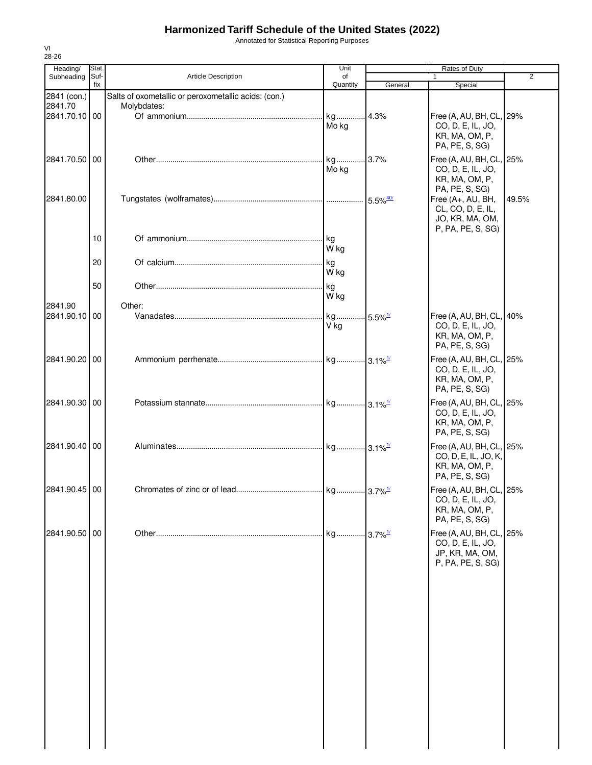Annotated for Statistical Reporting Purposes

| Heading/<br>Subheading                  | Stat.<br>Suf- |                                                                     | Unit<br>Rates of Duty<br>Article Description<br>of<br>$\mathbf{1}$ |                                              |                                                                                                  | $\overline{2}$ |  |
|-----------------------------------------|---------------|---------------------------------------------------------------------|--------------------------------------------------------------------|----------------------------------------------|--------------------------------------------------------------------------------------------------|----------------|--|
|                                         | fix           |                                                                     | Quantity                                                           | General                                      | Special                                                                                          |                |  |
| 2841 (con.)<br>2841.70<br>2841.70.10 00 |               | Salts of oxometallic or peroxometallic acids: (con.)<br>Molybdates: | Mo kg                                                              | 4.3%                                         | Free (A, AU, BH, CL, 29%<br>CO, D, E, IL, JO,<br>KR, MA, OM, P,<br>PA, PE, S, SG)                |                |  |
| 2841.70.50 00                           |               |                                                                     | Mo kg                                                              | 3.7%                                         | Free (A, AU, BH, CL, 25%<br>CO, D, E, IL, JO,<br>KR, MA, OM, P,                                  |                |  |
| 2841.80.00                              |               |                                                                     |                                                                    | $5.5\%$ <sup>40/</sup>                       | PA, PE, S, SG)<br>Free (A+, AU, BH,<br>CL, CO, D, E, IL,<br>JO, KR, MA, OM,<br>P, PA, PE, S, SG) | 49.5%          |  |
|                                         | 10            |                                                                     | kg<br>W kg                                                         |                                              |                                                                                                  |                |  |
|                                         | 20            |                                                                     | kg<br>W kg                                                         |                                              |                                                                                                  |                |  |
|                                         | 50            |                                                                     | lkg.<br>W kg                                                       |                                              |                                                                                                  |                |  |
| 2841.90<br>2841.90.10 00                |               | Other:                                                              | kg<br>V kg                                                         | $5.5\%$ <sup>1/</sup>                        | Free (A, AU, BH, CL, 40%<br>CO, D, E, IL, JO,<br>KR, MA, OM, P,<br>PA, PE, S, SG)                |                |  |
| 2841.90.20                              | 00            |                                                                     |                                                                    |                                              | Free (A, AU, BH, CL, 25%<br>CO, D, E, IL, JO,<br>KR, MA, OM, P,<br>PA, PE, S, SG)                |                |  |
| 2841.90.30   00                         |               |                                                                     |                                                                    |                                              | Free (A, AU, BH, CL, 25%<br>CO, D, E, IL, JO,<br>KR, MA, OM, P,<br>PA, PE, S, SG)                |                |  |
| 2841.90.40 00                           |               |                                                                     |                                                                    |                                              | Free (A, AU, BH, CL, 25%<br>CO, D, E, IL, JO, K,<br>KR, MA, OM, P,<br>PA, PE, S, SG)             |                |  |
| 2841.90.45 00                           |               |                                                                     |                                                                    |                                              | Free (A, AU, BH, CL, 25%<br>CO, D, E, IL, JO,<br>KR, MA, OM, P,<br>PA, PE, S, SG)                |                |  |
| 2841.90.50 00                           |               |                                                                     |                                                                    | $-3.7\%$ <sup><math>\frac{1}{2}</math></sup> | Free (A, AU, BH, CL, 25%<br>CO, D, E, IL, JO,<br>JP, KR, MA, OM,<br>P, PA, PE, S, SG)            |                |  |
|                                         |               |                                                                     |                                                                    |                                              |                                                                                                  |                |  |
|                                         |               |                                                                     |                                                                    |                                              |                                                                                                  |                |  |
|                                         |               |                                                                     |                                                                    |                                              |                                                                                                  |                |  |
|                                         |               |                                                                     |                                                                    |                                              |                                                                                                  |                |  |

VI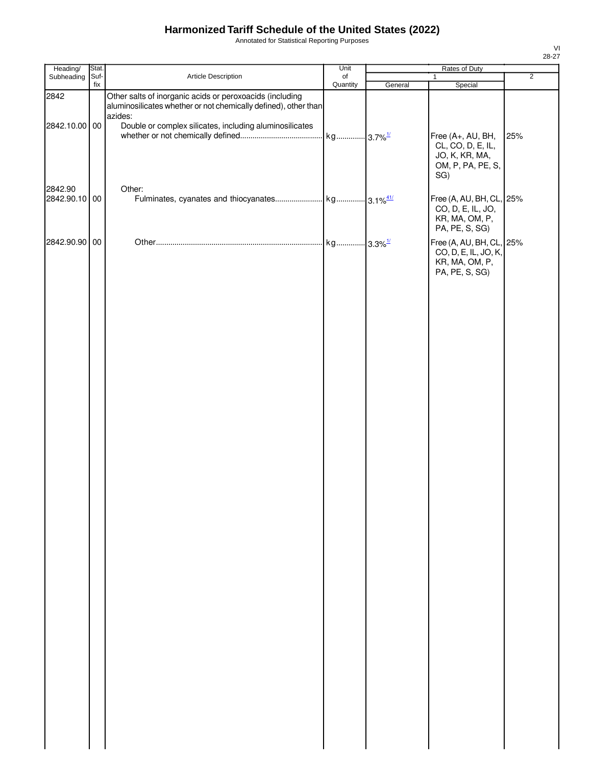Annotated for Statistical Reporting Purposes

| Suf-<br>$\mathbf{1}$<br>fix<br>Quantity<br>Special<br>General<br>2842<br>Other salts of inorganic acids or peroxoacids (including<br>aluminosilicates whether or not chemically defined), other than<br>azides:<br>Double or complex silicates, including aluminosilicates<br>Free (A+, AU, BH,<br>25%<br>CL, CO, D, E, IL,<br>JO, K, KR, MA,<br>OM, P, PA, PE, S,<br>SG)<br>Other:<br>Free (A, AU, BH, CL, 25% | Heading/   | Stat. |                     | Unit      | Rates of Duty     |                |
|-----------------------------------------------------------------------------------------------------------------------------------------------------------------------------------------------------------------------------------------------------------------------------------------------------------------------------------------------------------------------------------------------------------------|------------|-------|---------------------|-----------|-------------------|----------------|
| 2842.10.00 00<br>2842.90<br>2842.90.10 00                                                                                                                                                                                                                                                                                                                                                                       | Subheading |       | Article Description | $\circ$ f |                   | $\overline{2}$ |
|                                                                                                                                                                                                                                                                                                                                                                                                                 |            |       |                     |           |                   |                |
|                                                                                                                                                                                                                                                                                                                                                                                                                 |            |       |                     |           |                   |                |
| KR, MA, OM, P,<br>PA, PE, S, SG)                                                                                                                                                                                                                                                                                                                                                                                |            |       |                     |           | CO, D, E, IL, JO, |                |
| Free (A, AU, BH, CL, 25%<br>2842.90.90 00<br>CO, D, E, IL, JO, K,<br>KR, MA, OM, P,<br>PA, PE, S, SG)                                                                                                                                                                                                                                                                                                           |            |       |                     |           |                   |                |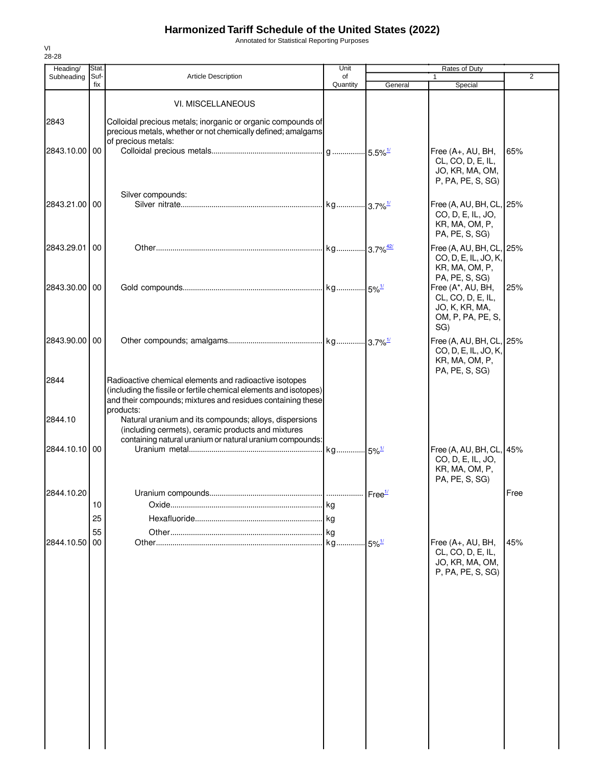Annotated for Statistical Reporting Purposes

| Heading/        | Stat.       |                                                                                                                                                                                                                                                                   | Unit           |                      | Rates of Duty                                                                        |                |
|-----------------|-------------|-------------------------------------------------------------------------------------------------------------------------------------------------------------------------------------------------------------------------------------------------------------------|----------------|----------------------|--------------------------------------------------------------------------------------|----------------|
| Subheading      | Suf-<br>fix | <b>Article Description</b>                                                                                                                                                                                                                                        | of<br>Quantity | General              | $\mathbf{1}$<br>Special                                                              | $\overline{2}$ |
|                 |             | VI. MISCELLANEOUS                                                                                                                                                                                                                                                 |                |                      |                                                                                      |                |
| 2843            |             | Colloidal precious metals; inorganic or organic compounds of<br>precious metals, whether or not chemically defined; amalgams<br>of precious metals:                                                                                                               |                |                      |                                                                                      |                |
| 2843.10.00 00   |             |                                                                                                                                                                                                                                                                   |                |                      | Free (A+, AU, BH,<br>CL, CO, D, E, IL,<br>JO, KR, MA, OM,<br>P, PA, PE, S, SG)       | 65%            |
| 2843.21.00      | 00          | Silver compounds:                                                                                                                                                                                                                                                 |                |                      | Free (A, AU, BH, CL, 25%<br>CO, D, E, IL, JO,<br>KR, MA, OM, P,<br>PA, PE, S, SG)    |                |
| 2843.29.01      | 00          |                                                                                                                                                                                                                                                                   |                |                      | Free (A, AU, BH, CL, 25%<br>CO, D, E, IL, JO, K,<br>KR, MA, OM, P,<br>PA, PE, S, SG) |                |
| 2843.30.00 00   |             |                                                                                                                                                                                                                                                                   |                |                      | Free (A*, AU, BH,<br>CL, CO, D, E, IL,<br>JO, K, KR, MA,<br>OM, P, PA, PE, S,<br>SG) | 25%            |
| 2843.90.00      | 00          |                                                                                                                                                                                                                                                                   |                |                      | Free (A, AU, BH, CL, 25%<br>CO, D, E, IL, JO, K,<br>KR, MA, OM, P,<br>PA, PE, S, SG) |                |
| 2844<br>2844.10 |             | Radioactive chemical elements and radioactive isotopes<br>(including the fissile or fertile chemical elements and isotopes)<br>and their compounds; mixtures and residues containing these<br>products:<br>Natural uranium and its compounds; alloys, dispersions |                |                      |                                                                                      |                |
|                 |             | (including cermets), ceramic products and mixtures<br>containing natural uranium or natural uranium compounds:                                                                                                                                                    |                |                      |                                                                                      |                |
| 2844.10.10 00   |             |                                                                                                                                                                                                                                                                   | . kg 5%1       |                      | Free (A, AU, BH, CL, 45%<br>CO, D, E, IL, JO,<br>KR, MA, OM, P,<br>PA, PE, S, SG)    |                |
| 2844.10.20      |             | Uranium compounds                                                                                                                                                                                                                                                 |                | Free <sup>1/</sup>   |                                                                                      | <b>I</b> Free  |
|                 | 10          |                                                                                                                                                                                                                                                                   |                |                      |                                                                                      |                |
|                 | 25          |                                                                                                                                                                                                                                                                   |                |                      |                                                                                      |                |
|                 | 55          |                                                                                                                                                                                                                                                                   | kg             |                      |                                                                                      |                |
| 2844.10.50      | 00          |                                                                                                                                                                                                                                                                   | kg             | $-5\%$ <sup>1/</sup> | Free (A+, AU, BH,<br>CL, CO, D, E, IL,<br>JO, KR, MA, OM,<br>P, PA, PE, S, SG)       | 45%            |
|                 |             |                                                                                                                                                                                                                                                                   |                |                      |                                                                                      |                |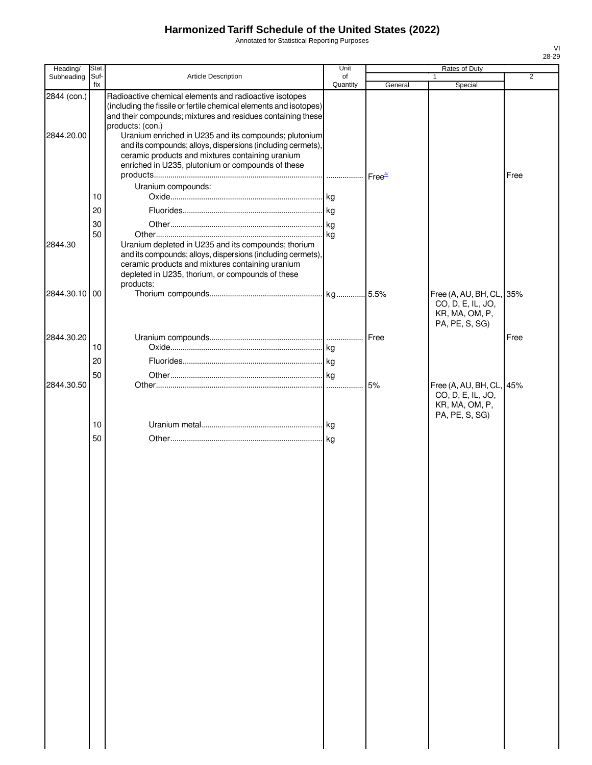Annotated for Statistical Reporting Purposes

| Stat     |                                                                                                                                                                                                                                                                                                                         | Unit                                                   |                                                                                                                                                                                           | Rates of Duty                                                                     |                                          |
|----------|-------------------------------------------------------------------------------------------------------------------------------------------------------------------------------------------------------------------------------------------------------------------------------------------------------------------------|--------------------------------------------------------|-------------------------------------------------------------------------------------------------------------------------------------------------------------------------------------------|-----------------------------------------------------------------------------------|------------------------------------------|
| fix      |                                                                                                                                                                                                                                                                                                                         | Quantity                                               | General                                                                                                                                                                                   |                                                                                   | $\overline{2}$                           |
|          | Radioactive chemical elements and radioactive isotopes<br>(including the fissile or fertile chemical elements and isotopes)<br>products: (con.)<br>and its compounds; alloys, dispersions (including cermets),<br>ceramic products and mixtures containing uranium<br>enriched in U235, plutonium or compounds of these |                                                        |                                                                                                                                                                                           |                                                                                   | Free                                     |
|          |                                                                                                                                                                                                                                                                                                                         |                                                        |                                                                                                                                                                                           |                                                                                   |                                          |
|          |                                                                                                                                                                                                                                                                                                                         |                                                        |                                                                                                                                                                                           |                                                                                   |                                          |
|          |                                                                                                                                                                                                                                                                                                                         |                                                        |                                                                                                                                                                                           |                                                                                   |                                          |
| 50       | Uranium depleted in U235 and its compounds; thorium<br>ceramic products and mixtures containing uranium<br>depleted in U235, thorium, or compounds of these                                                                                                                                                             |                                                        |                                                                                                                                                                                           |                                                                                   |                                          |
| 00       |                                                                                                                                                                                                                                                                                                                         |                                                        |                                                                                                                                                                                           | Free (A, AU, BH, CL, 35%<br>CO, D, E, IL, JO,<br>KR, MA, OM, P,<br>PA, PE, S, SG) |                                          |
|          |                                                                                                                                                                                                                                                                                                                         |                                                        |                                                                                                                                                                                           |                                                                                   | Free                                     |
|          |                                                                                                                                                                                                                                                                                                                         |                                                        |                                                                                                                                                                                           |                                                                                   |                                          |
|          |                                                                                                                                                                                                                                                                                                                         |                                                        |                                                                                                                                                                                           |                                                                                   |                                          |
|          |                                                                                                                                                                                                                                                                                                                         |                                                        |                                                                                                                                                                                           |                                                                                   |                                          |
| 10<br>50 |                                                                                                                                                                                                                                                                                                                         |                                                        |                                                                                                                                                                                           | CO, D, E, IL, JO,<br>KR, MA, OM, P,<br>PA, PE, S, SG)                             |                                          |
|          | Suf-<br>10<br>20<br>30<br>2844.30.10<br>10<br>20<br>50                                                                                                                                                                                                                                                                  | Article Description<br>Uranium compounds:<br>products: | οf<br>and their compounds; mixtures and residues containing these<br>Uranium enriched in U235 and its compounds; plutonium<br>and its compounds; alloys, dispersions (including cermets), | Free <sup>4/</sup><br>Free<br>5%                                                  | 1<br>Special<br>Free (A, AU, BH, CL, 45% |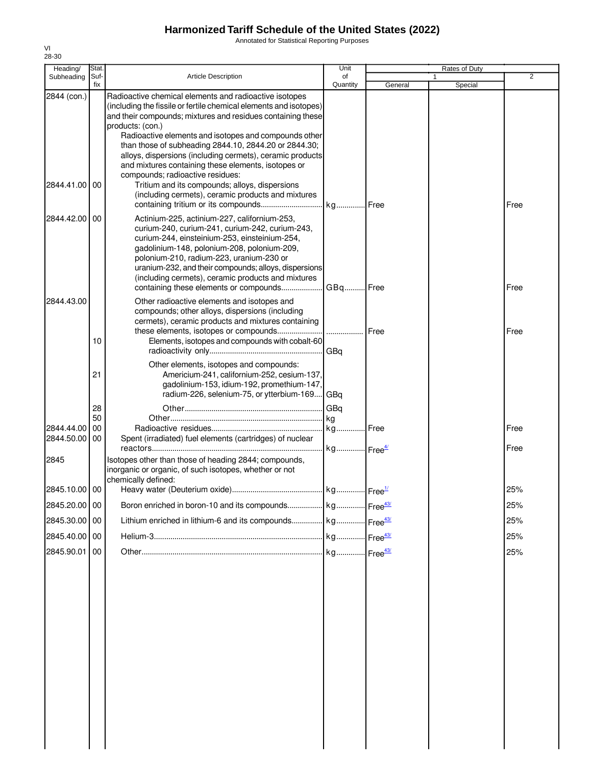Annotated for Statistical Reporting Purposes

| Heading/                 | Stat.       |                                                                                                                                                                                                                                                                                                                                                                                                                                                                                          | Unit                             |              | Rates of Duty |              |
|--------------------------|-------------|------------------------------------------------------------------------------------------------------------------------------------------------------------------------------------------------------------------------------------------------------------------------------------------------------------------------------------------------------------------------------------------------------------------------------------------------------------------------------------------|----------------------------------|--------------|---------------|--------------|
| Subheading               | Suf-<br>fix | <b>Article Description</b>                                                                                                                                                                                                                                                                                                                                                                                                                                                               | of<br>Quantity                   | General      | 1<br>Special  | 2            |
| 2844 (con.)              |             | Radioactive chemical elements and radioactive isotopes<br>(including the fissile or fertile chemical elements and isotopes)<br>and their compounds; mixtures and residues containing these<br>products: (con.)<br>Radioactive elements and isotopes and compounds other<br>than those of subheading 2844.10, 2844.20 or 2844.30;<br>alloys, dispersions (including cermets), ceramic products<br>and mixtures containing these elements, isotopes or<br>compounds; radioactive residues: |                                  |              |               |              |
| 2844.41.00 00            |             | Tritium and its compounds; alloys, dispersions<br>(including cermets), ceramic products and mixtures                                                                                                                                                                                                                                                                                                                                                                                     | kg Free                          |              |               | Free         |
| 2844.42.00               | 00          | Actinium-225, actinium-227, californium-253,<br>curium-240, curium-241, curium-242, curium-243,<br>curium-244, einsteinium-253, einsteinium-254,<br>gadolinium-148, polonium-208, polonium-209,<br>polonium-210, radium-223, uranium-230 or<br>uranium-232, and their compounds; alloys, dispersions<br>(including cermets), ceramic products and mixtures                                                                                                                               |                                  |              |               | Free         |
| 2844.43.00               | 10          | Other radioactive elements and isotopes and<br>compounds; other alloys, dispersions (including<br>cermets), ceramic products and mixtures containing<br>Elements, isotopes and compounds with cobalt-60                                                                                                                                                                                                                                                                                  |                                  | <b>IFree</b> |               | Free         |
|                          | 21          | Other elements, isotopes and compounds:<br>Americium-241, californium-252, cesium-137,<br>gadolinium-153, idium-192, promethium-147,<br>radium-226, selenium-75, or ytterbium-169                                                                                                                                                                                                                                                                                                        | GBq<br>GBq                       |              |               |              |
|                          | 28          |                                                                                                                                                                                                                                                                                                                                                                                                                                                                                          | GBq                              |              |               |              |
|                          | 50          |                                                                                                                                                                                                                                                                                                                                                                                                                                                                                          | kg                               |              |               |              |
| 2844.44.00<br>2844.50.00 | 00<br>00    | Spent (irradiated) fuel elements (cartridges) of nuclear                                                                                                                                                                                                                                                                                                                                                                                                                                 | kg Free<br>kg Free <sup>4/</sup> |              |               | Free<br>Free |
| 2845                     |             | Isotopes other than those of heading 2844; compounds,<br>inorganic or organic, of such isotopes, whether or not<br>chemically defined:                                                                                                                                                                                                                                                                                                                                                   |                                  |              |               |              |
| 2845.10.00 00            |             |                                                                                                                                                                                                                                                                                                                                                                                                                                                                                          |                                  |              |               | 25%          |
| 2845.20.00 00            |             | Boron enriched in boron-10 and its compounds kg Free <sup>43/</sup>                                                                                                                                                                                                                                                                                                                                                                                                                      |                                  |              |               | 25%          |
| 2845.30.00 00            |             | Lithium enriched in lithium-6 and its compounds kg Free <sup>43/</sup>                                                                                                                                                                                                                                                                                                                                                                                                                   |                                  |              |               | 25%          |
| 2845.40.00 00            |             |                                                                                                                                                                                                                                                                                                                                                                                                                                                                                          |                                  |              |               | 25%          |
| 2845.90.01 00            |             |                                                                                                                                                                                                                                                                                                                                                                                                                                                                                          |                                  |              |               | 25%          |
|                          |             |                                                                                                                                                                                                                                                                                                                                                                                                                                                                                          |                                  |              |               |              |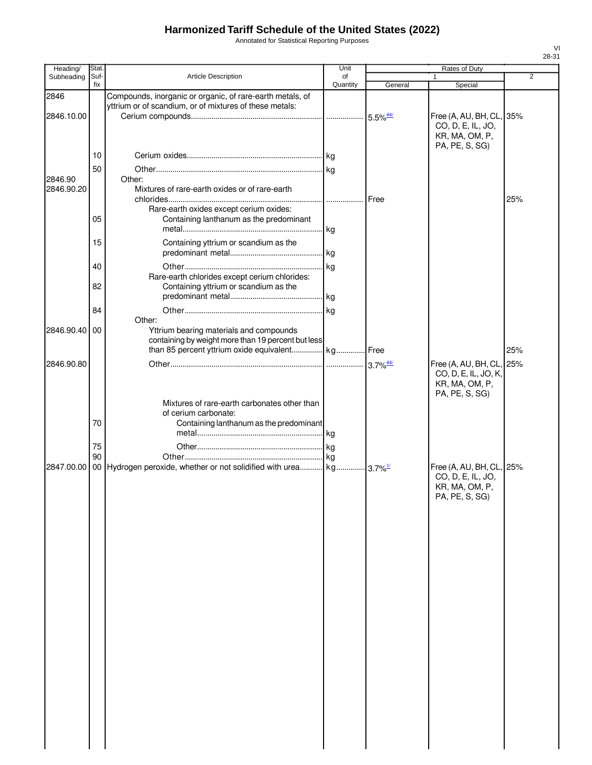Annotated for Statistical Reporting Purposes

| Heading/              | Stat.       |                                                                                                                                                   | Unit           |                        | <b>Rates of Duty</b>                                                              |                |
|-----------------------|-------------|---------------------------------------------------------------------------------------------------------------------------------------------------|----------------|------------------------|-----------------------------------------------------------------------------------|----------------|
| Subheading            | Suf-<br>fix | <b>Article Description</b>                                                                                                                        | of<br>Quantity | General                | Special                                                                           | $\overline{2}$ |
| 2846                  |             | Compounds, inorganic or organic, of rare-earth metals, of<br>yttrium or of scandium, or of mixtures of these metals:                              |                |                        |                                                                                   |                |
| 2846.10.00            |             |                                                                                                                                                   |                | $5.5\%$ <sup>44/</sup> | Free (A, AU, BH, CL, 35%<br>CO, D, E, IL, JO,<br>KR, MA, OM, P,<br>PA, PE, S, SG) |                |
|                       | 10          |                                                                                                                                                   |                |                        |                                                                                   |                |
|                       | 50          |                                                                                                                                                   |                |                        |                                                                                   |                |
| 2846.90<br>2846.90.20 |             | Other:<br>Mixtures of rare-earth oxides or of rare-earth                                                                                          |                | Free                   |                                                                                   | 25%            |
|                       | 05          | Rare-earth oxides except cerium oxides:<br>Containing lanthanum as the predominant                                                                |                |                        |                                                                                   |                |
|                       | 15          | Containing yttrium or scandium as the                                                                                                             |                |                        |                                                                                   |                |
|                       | 40          |                                                                                                                                                   |                |                        |                                                                                   |                |
|                       | 82          | Rare-earth chlorides except cerium chlorides:<br>Containing yttrium or scandium as the                                                            |                |                        |                                                                                   |                |
|                       |             |                                                                                                                                                   |                |                        |                                                                                   |                |
|                       | 84          | Other:                                                                                                                                            |                |                        |                                                                                   |                |
| 2846.90.40 00         |             | Yttrium bearing materials and compounds<br>containing by weight more than 19 percent but less<br>than 85 percent yttrium oxide equivalent kg Free |                |                        |                                                                                   | 25%            |
| 2846.90.80            |             |                                                                                                                                                   |                | $3.7\%$ <sup>44/</sup> | Free (A, AU, BH, CL, 25%                                                          |                |
|                       |             |                                                                                                                                                   |                |                        | CO, D, E, IL, JO, K,<br>KR, MA, OM, P,<br>PA, PE, S, SG)                          |                |
|                       | 70          | Mixtures of rare-earth carbonates other than<br>of cerium carbonate:<br>Containing lanthanum as the predominant                                   |                |                        |                                                                                   |                |
|                       | 75          |                                                                                                                                                   |                |                        |                                                                                   |                |
| 2847.00.00            | 90          | 00 Hydrogen peroxide, whether or not solidified with urea kg 3.7% <sup>1/</sup>                                                                   |                |                        | Free (A, AU, BH, CL, 25%<br>CO, D, E, IL, JO,                                     |                |
|                       |             |                                                                                                                                                   |                |                        | KR, MA, OM, P,<br>PA, PE, S, SG)                                                  |                |
|                       |             |                                                                                                                                                   |                |                        |                                                                                   |                |
|                       |             |                                                                                                                                                   |                |                        |                                                                                   |                |
|                       |             |                                                                                                                                                   |                |                        |                                                                                   |                |
|                       |             |                                                                                                                                                   |                |                        |                                                                                   |                |
|                       |             |                                                                                                                                                   |                |                        |                                                                                   |                |
|                       |             |                                                                                                                                                   |                |                        |                                                                                   |                |
|                       |             |                                                                                                                                                   |                |                        |                                                                                   |                |
|                       |             |                                                                                                                                                   |                |                        |                                                                                   |                |
|                       |             |                                                                                                                                                   |                |                        |                                                                                   |                |
|                       |             |                                                                                                                                                   |                |                        |                                                                                   |                |
|                       |             |                                                                                                                                                   |                |                        |                                                                                   |                |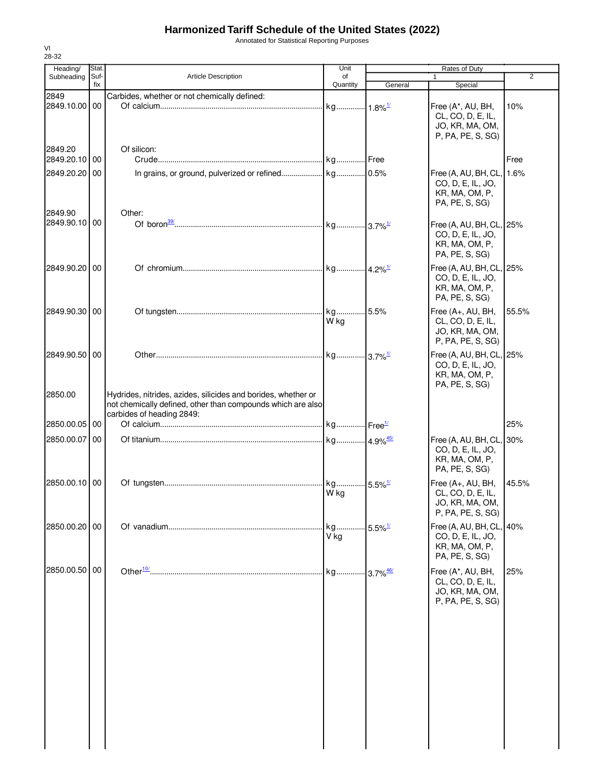Annotated for Statistical Reporting Purposes

| Heading/                 | Stat.       |                                                                                                                                                           | Unit           |                         | Rates of Duty                                                                      |                |
|--------------------------|-------------|-----------------------------------------------------------------------------------------------------------------------------------------------------------|----------------|-------------------------|------------------------------------------------------------------------------------|----------------|
| Subheading               | Suf-<br>fix | <b>Article Description</b>                                                                                                                                | of<br>Quantity | General                 | 1                                                                                  | $\overline{2}$ |
| 2849                     |             | Carbides, whether or not chemically defined:                                                                                                              |                |                         | Special                                                                            |                |
| 2849.10.00 00            |             |                                                                                                                                                           |                |                         | Free (A*, AU, BH,<br>CL, CO, D, E, IL,<br>JO, KR, MA, OM,<br>P, PA, PE, S, SG)     | 10%            |
| 2849.20<br>2849.20.10 00 |             | Of silicon:                                                                                                                                               |                |                         |                                                                                    | Free           |
| 2849.20.20 00            |             |                                                                                                                                                           |                |                         | Free (A, AU, BH, CL, 1.6%<br>CO, D, E, IL, JO,<br>KR, MA, OM, P,<br>PA, PE, S, SG) |                |
| 2849.90<br>2849.90.10 00 |             | Other:                                                                                                                                                    |                |                         | Free (A, AU, BH, CL, 25%<br>CO, D, E, IL, JO,<br>KR, MA, OM, P,<br>PA, PE, S, SG)  |                |
| 2849.90.20 00            |             |                                                                                                                                                           |                | $4.2\%$ <sup>1/</sup>   | Free (A, AU, BH, CL, 25%<br>CO, D, E, IL, JO,<br>KR, MA, OM, P,<br>PA, PE, S, SG)  |                |
| 2849.90.30 00            |             |                                                                                                                                                           | kg<br>W kg     | 5.5%                    | Free (A+, AU, BH,<br>CL, CO, D, E, IL,<br>JO, KR, MA, OM,<br>P, PA, PE, S, SG)     | 55.5%          |
| 2849.90.50 00            |             |                                                                                                                                                           |                |                         | Free (A, AU, BH, CL, 25%<br>CO, D, E, IL, JO,<br>KR, MA, OM, P,<br>PA, PE, S, SG)  |                |
| 2850.00                  |             | Hydrides, nitrides, azides, silicides and borides, whether or<br>not chemically defined, other than compounds which are also<br>carbides of heading 2849: |                |                         |                                                                                    |                |
| 2850.00.05 00            |             |                                                                                                                                                           |                |                         |                                                                                    | 25%            |
| 2850.00.07 00            |             |                                                                                                                                                           |                |                         | Free (A, AU, BH, CL, 30%<br>CO, D, E, IL, JO,<br>KR, MA, OM, P,<br>PA, PE, S, SG)  |                |
| 2850.00.10 00            |             |                                                                                                                                                           | W kg           |                         | Free (A+, AU, BH,<br>CL, CO, D, E, IL,<br>JO, KR, MA, OM,<br>P, PA, PE, S, SG)     | 45.5%          |
| 2850.00.20 00            |             |                                                                                                                                                           | kg<br>V kg     | $-5.5\%$ <sup>1/</sup>  | Free (A, AU, BH, CL, 40%<br>CO, D, E, IL, JO,<br>KR, MA, OM, P,<br>PA, PE, S, SG)  |                |
| 2850.00.50 00            |             |                                                                                                                                                           |                | $-3.7\%$ <sup>46/</sup> | Free (A*, AU, BH,<br>CL, CO, D, E, IL,<br>JO, KR, MA, OM,<br>P, PA, PE, S, SG)     | 25%            |
|                          |             |                                                                                                                                                           |                |                         |                                                                                    |                |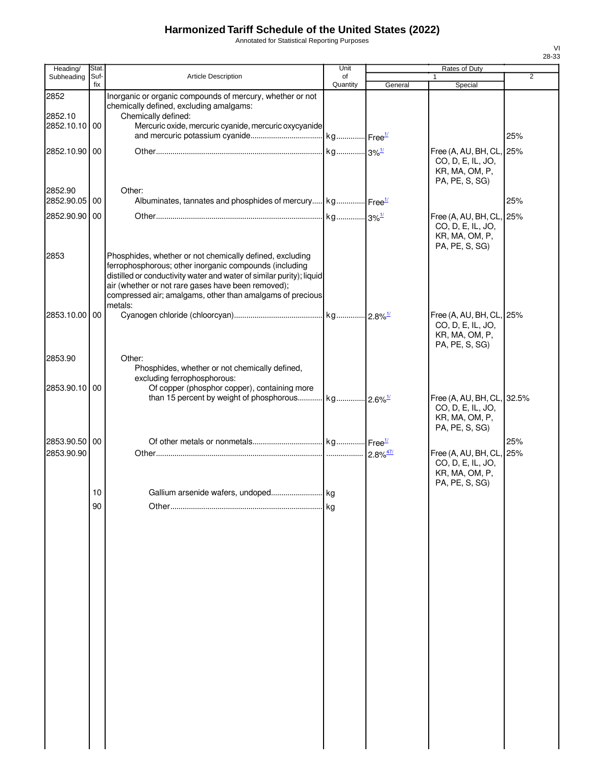Annotated for Statistical Reporting Purposes

| Heading/                    | <b>Stat</b>     |                                                                                                                                                                                                                                                                                                                          | Unit           |                        | Rates of Duty                                                                       |                |
|-----------------------------|-----------------|--------------------------------------------------------------------------------------------------------------------------------------------------------------------------------------------------------------------------------------------------------------------------------------------------------------------------|----------------|------------------------|-------------------------------------------------------------------------------------|----------------|
| Subheading                  | Suf-<br>fix     | <b>Article Description</b>                                                                                                                                                                                                                                                                                               | of<br>Quantity | General                | 1<br>Special                                                                        | $\overline{2}$ |
| 2852                        |                 | Inorganic or organic compounds of mercury, whether or not<br>chemically defined, excluding amalgams:                                                                                                                                                                                                                     |                |                        |                                                                                     |                |
| 2852.10                     |                 | Chemically defined:                                                                                                                                                                                                                                                                                                      |                |                        |                                                                                     |                |
| 2852.10.10 00               |                 | Mercuric oxide, mercuric cyanide, mercuric oxycyanide                                                                                                                                                                                                                                                                    |                |                        |                                                                                     | 25%            |
| 2852.10.90 00               |                 |                                                                                                                                                                                                                                                                                                                          |                |                        | Free (A, AU, BH, CL, 25%<br>CO, D, E, IL, JO,<br>KR, MA, OM, P,<br>PA, PE, S, SG)   |                |
| 2852.90<br>2852.90.05 00    |                 | Other:<br>Albuminates, tannates and phosphides of mercury kg Free <sup>1/</sup>                                                                                                                                                                                                                                          |                |                        |                                                                                     | 25%            |
| 2852.90.90 00               |                 |                                                                                                                                                                                                                                                                                                                          |                |                        | Free (A, AU, BH, CL, 25%<br>CO, D, E, IL, JO,<br>KR, MA, OM, P,<br>PA, PE, S, SG)   |                |
| 2853                        |                 | Phosphides, whether or not chemically defined, excluding<br>ferrophosphorous; other inorganic compounds (including<br>distilled or conductivity water and water of similar purity); liquid<br>air (whether or not rare gases have been removed);<br>compressed air; amalgams, other than amalgams of precious<br>metals: |                |                        |                                                                                     |                |
| 2853.10.00 00               |                 |                                                                                                                                                                                                                                                                                                                          |                |                        | Free (A, AU, BH, CL, 25%<br>CO, D, E, IL, JO,<br>KR, MA, OM, P,<br>PA, PE, S, SG)   |                |
| 2853.90                     |                 | Other:<br>Phosphides, whether or not chemically defined,<br>excluding ferrophosphorous:                                                                                                                                                                                                                                  |                |                        |                                                                                     |                |
| 2853.90.10 00               |                 | Of copper (phosphor copper), containing more                                                                                                                                                                                                                                                                             |                |                        | Free (A, AU, BH, CL, 32.5%<br>CO, D, E, IL, JO,<br>KR, MA, OM, P,<br>PA, PE, S, SG) |                |
| 2853.90.50 00<br>2853.90.90 |                 |                                                                                                                                                                                                                                                                                                                          |                | $2.8\%$ <sup>47/</sup> | Free (A, AU, BH, CL, 25%<br>CO, D, E, IL, JO,<br>KR, MA, OM, P,                     | 25%            |
|                             | 10 <sup>1</sup> | Gallium arsenide wafers, undoped                                                                                                                                                                                                                                                                                         | kg             |                        | PA, PE, S, SG)                                                                      |                |
|                             | 90              |                                                                                                                                                                                                                                                                                                                          | kg             |                        |                                                                                     |                |
|                             |                 |                                                                                                                                                                                                                                                                                                                          |                |                        |                                                                                     |                |
|                             |                 |                                                                                                                                                                                                                                                                                                                          |                |                        |                                                                                     |                |
|                             |                 |                                                                                                                                                                                                                                                                                                                          |                |                        |                                                                                     |                |
|                             |                 |                                                                                                                                                                                                                                                                                                                          |                |                        |                                                                                     |                |
|                             |                 |                                                                                                                                                                                                                                                                                                                          |                |                        |                                                                                     |                |
|                             |                 |                                                                                                                                                                                                                                                                                                                          |                |                        |                                                                                     |                |
|                             |                 |                                                                                                                                                                                                                                                                                                                          |                |                        |                                                                                     |                |
|                             |                 |                                                                                                                                                                                                                                                                                                                          |                |                        |                                                                                     |                |
|                             |                 |                                                                                                                                                                                                                                                                                                                          |                |                        |                                                                                     |                |
|                             |                 |                                                                                                                                                                                                                                                                                                                          |                |                        |                                                                                     |                |